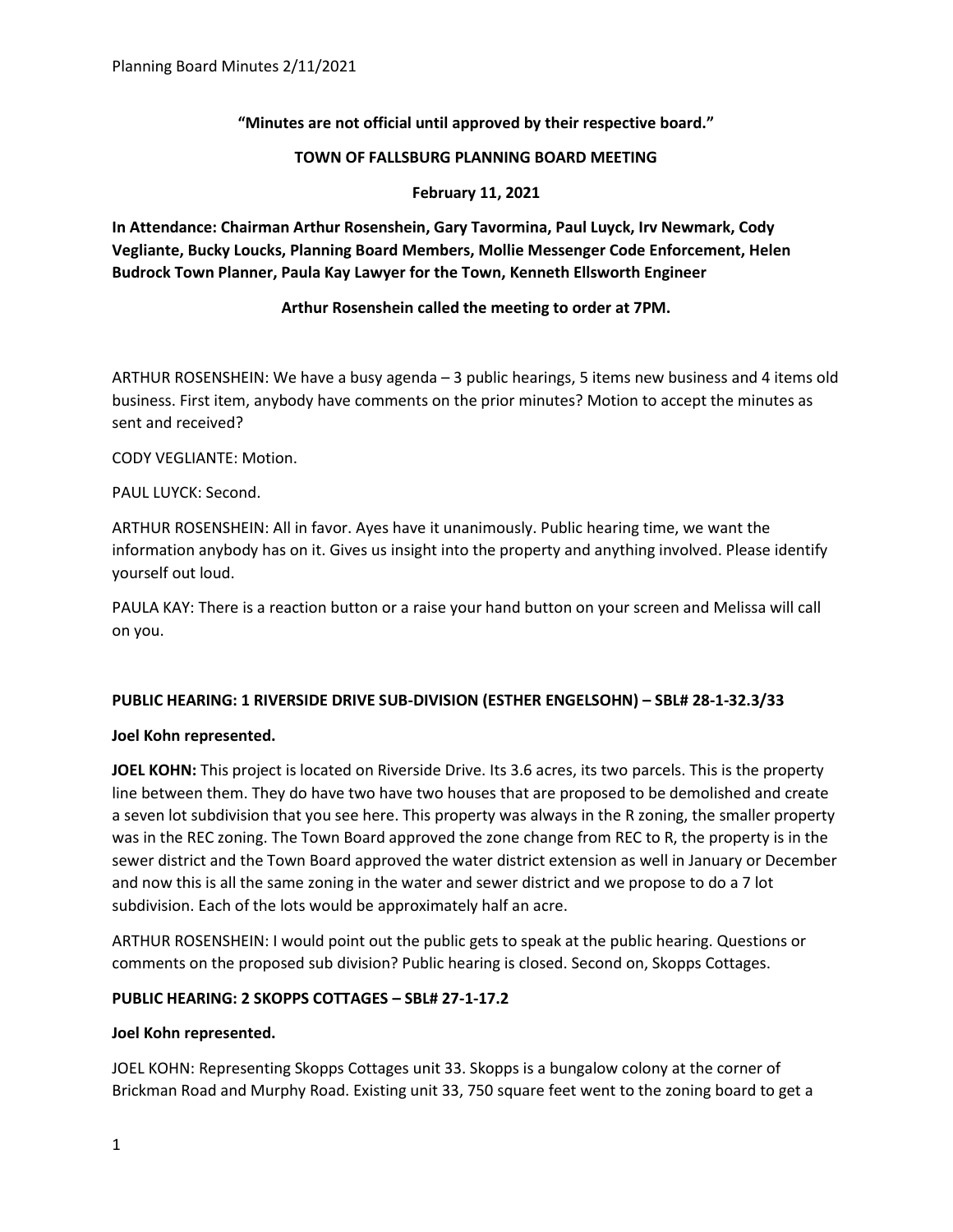# **"Minutes are not official until approved by their respective board."**

### **TOWN OF FALLSBURG PLANNING BOARD MEETING**

### **February 11, 2021**

**In Attendance: Chairman Arthur Rosenshein, Gary Tavormina, Paul Luyck, Irv Newmark, Cody Vegliante, Bucky Loucks, Planning Board Members, Mollie Messenger Code Enforcement, Helen Budrock Town Planner, Paula Kay Lawyer for the Town, Kenneth Ellsworth Engineer**

## **Arthur Rosenshein called the meeting to order at 7PM.**

ARTHUR ROSENSHEIN: We have a busy agenda – 3 public hearings, 5 items new business and 4 items old business. First item, anybody have comments on the prior minutes? Motion to accept the minutes as sent and received?

CODY VEGLIANTE: Motion.

PAUL LUYCK: Second.

ARTHUR ROSENSHEIN: All in favor. Ayes have it unanimously. Public hearing time, we want the information anybody has on it. Gives us insight into the property and anything involved. Please identify yourself out loud.

PAULA KAY: There is a reaction button or a raise your hand button on your screen and Melissa will call on you.

## **PUBLIC HEARING: 1 RIVERSIDE DRIVE SUB-DIVISION (ESTHER ENGELSOHN) – SBL# 28-1-32.3/33**

## **Joel Kohn represented.**

**JOEL KOHN:** This project is located on Riverside Drive. Its 3.6 acres, its two parcels. This is the property line between them. They do have two have two houses that are proposed to be demolished and create a seven lot subdivision that you see here. This property was always in the R zoning, the smaller property was in the REC zoning. The Town Board approved the zone change from REC to R, the property is in the sewer district and the Town Board approved the water district extension as well in January or December and now this is all the same zoning in the water and sewer district and we propose to do a 7 lot subdivision. Each of the lots would be approximately half an acre.

ARTHUR ROSENSHEIN: I would point out the public gets to speak at the public hearing. Questions or comments on the proposed sub division? Public hearing is closed. Second on, Skopps Cottages.

## **PUBLIC HEARING: 2 SKOPPS COTTAGES – SBL# 27-1-17.2**

## **Joel Kohn represented.**

JOEL KOHN: Representing Skopps Cottages unit 33. Skopps is a bungalow colony at the corner of Brickman Road and Murphy Road. Existing unit 33, 750 square feet went to the zoning board to get a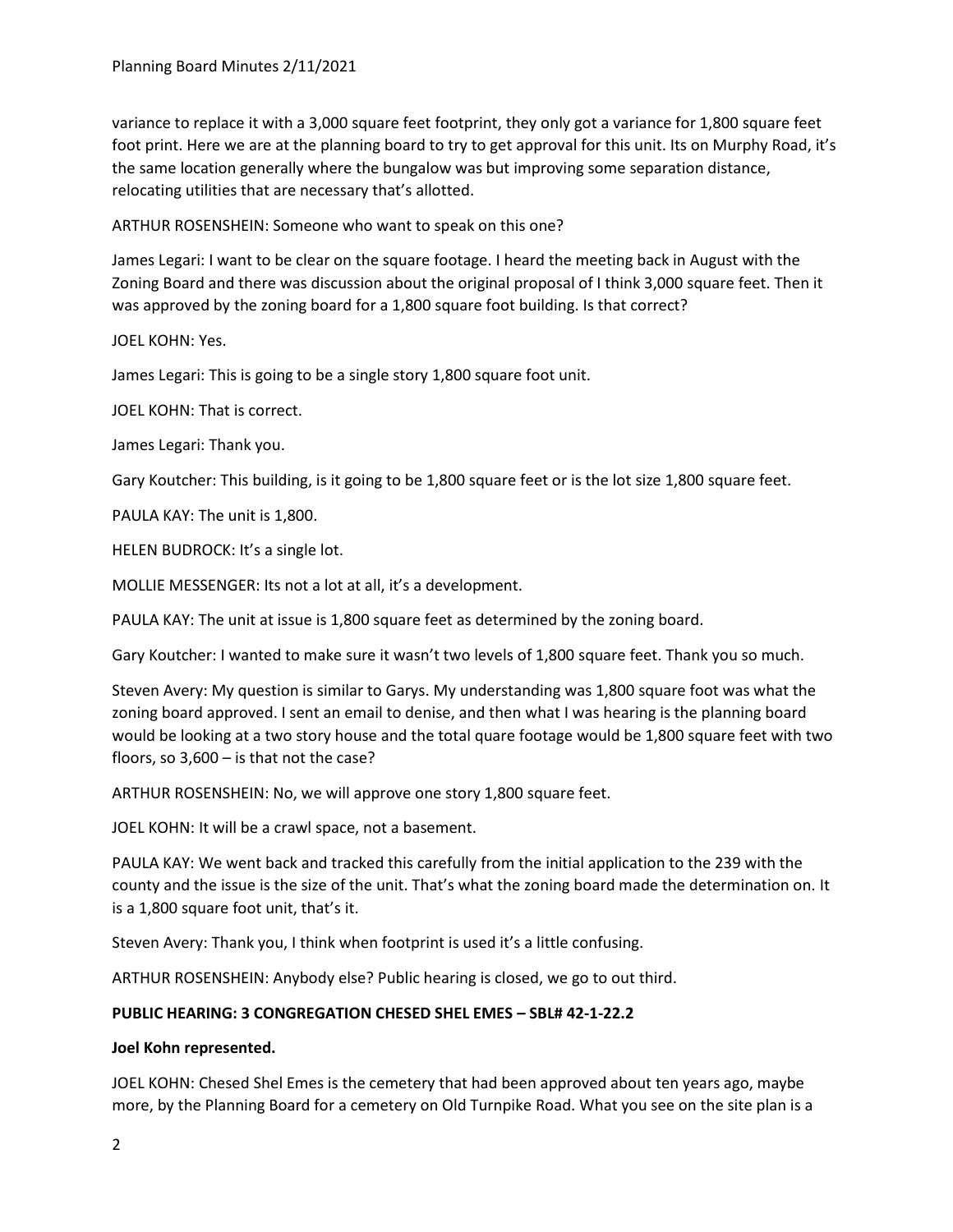variance to replace it with a 3,000 square feet footprint, they only got a variance for 1,800 square feet foot print. Here we are at the planning board to try to get approval for this unit. Its on Murphy Road, it's the same location generally where the bungalow was but improving some separation distance, relocating utilities that are necessary that's allotted.

ARTHUR ROSENSHEIN: Someone who want to speak on this one?

James Legari: I want to be clear on the square footage. I heard the meeting back in August with the Zoning Board and there was discussion about the original proposal of I think 3,000 square feet. Then it was approved by the zoning board for a 1,800 square foot building. Is that correct?

JOEL KOHN: Yes.

James Legari: This is going to be a single story 1,800 square foot unit.

JOEL KOHN: That is correct.

James Legari: Thank you.

Gary Koutcher: This building, is it going to be 1,800 square feet or is the lot size 1,800 square feet.

PAULA KAY: The unit is 1,800.

HELEN BUDROCK: It's a single lot.

MOLLIE MESSENGER: Its not a lot at all, it's a development.

PAULA KAY: The unit at issue is 1,800 square feet as determined by the zoning board.

Gary Koutcher: I wanted to make sure it wasn't two levels of 1,800 square feet. Thank you so much.

Steven Avery: My question is similar to Garys. My understanding was 1,800 square foot was what the zoning board approved. I sent an email to denise, and then what I was hearing is the planning board would be looking at a two story house and the total quare footage would be 1,800 square feet with two floors, so 3,600 – is that not the case?

ARTHUR ROSENSHEIN: No, we will approve one story 1,800 square feet.

JOEL KOHN: It will be a crawl space, not a basement.

PAULA KAY: We went back and tracked this carefully from the initial application to the 239 with the county and the issue is the size of the unit. That's what the zoning board made the determination on. It is a 1,800 square foot unit, that's it.

Steven Avery: Thank you, I think when footprint is used it's a little confusing.

ARTHUR ROSENSHEIN: Anybody else? Public hearing is closed, we go to out third.

## **PUBLIC HEARING: 3 CONGREGATION CHESED SHEL EMES – SBL# 42-1-22.2**

#### **Joel Kohn represented.**

JOEL KOHN: Chesed Shel Emes is the cemetery that had been approved about ten years ago, maybe more, by the Planning Board for a cemetery on Old Turnpike Road. What you see on the site plan is a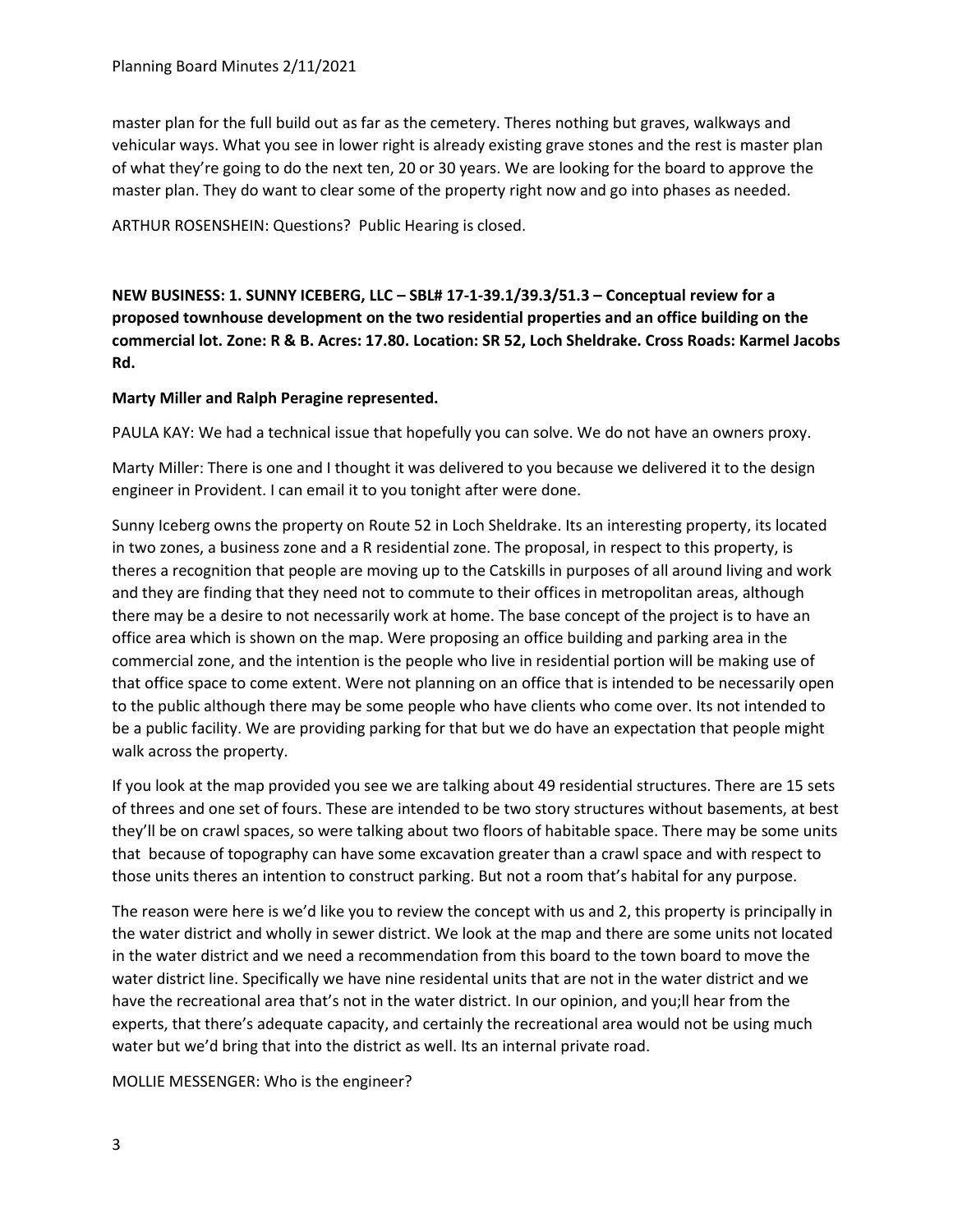master plan for the full build out as far as the cemetery. Theres nothing but graves, walkways and vehicular ways. What you see in lower right is already existing grave stones and the rest is master plan of what they're going to do the next ten, 20 or 30 years. We are looking for the board to approve the master plan. They do want to clear some of the property right now and go into phases as needed.

ARTHUR ROSENSHEIN: Questions? Public Hearing is closed.

**NEW BUSINESS: 1. SUNNY ICEBERG, LLC – SBL# 17-1-39.1/39.3/51.3 – Conceptual review for a proposed townhouse development on the two residential properties and an office building on the commercial lot. Zone: R & B. Acres: 17.80. Location: SR 52, Loch Sheldrake. Cross Roads: Karmel Jacobs Rd.**

## **Marty Miller and Ralph Peragine represented.**

PAULA KAY: We had a technical issue that hopefully you can solve. We do not have an owners proxy.

Marty Miller: There is one and I thought it was delivered to you because we delivered it to the design engineer in Provident. I can email it to you tonight after were done.

Sunny Iceberg owns the property on Route 52 in Loch Sheldrake. Its an interesting property, its located in two zones, a business zone and a R residential zone. The proposal, in respect to this property, is theres a recognition that people are moving up to the Catskills in purposes of all around living and work and they are finding that they need not to commute to their offices in metropolitan areas, although there may be a desire to not necessarily work at home. The base concept of the project is to have an office area which is shown on the map. Were proposing an office building and parking area in the commercial zone, and the intention is the people who live in residential portion will be making use of that office space to come extent. Were not planning on an office that is intended to be necessarily open to the public although there may be some people who have clients who come over. Its not intended to be a public facility. We are providing parking for that but we do have an expectation that people might walk across the property.

If you look at the map provided you see we are talking about 49 residential structures. There are 15 sets of threes and one set of fours. These are intended to be two story structures without basements, at best they'll be on crawl spaces, so were talking about two floors of habitable space. There may be some units that because of topography can have some excavation greater than a crawl space and with respect to those units theres an intention to construct parking. But not a room that's habital for any purpose.

The reason were here is we'd like you to review the concept with us and 2, this property is principally in the water district and wholly in sewer district. We look at the map and there are some units not located in the water district and we need a recommendation from this board to the town board to move the water district line. Specifically we have nine residental units that are not in the water district and we have the recreational area that's not in the water district. In our opinion, and you;ll hear from the experts, that there's adequate capacity, and certainly the recreational area would not be using much water but we'd bring that into the district as well. Its an internal private road.

MOLLIE MESSENGER: Who is the engineer?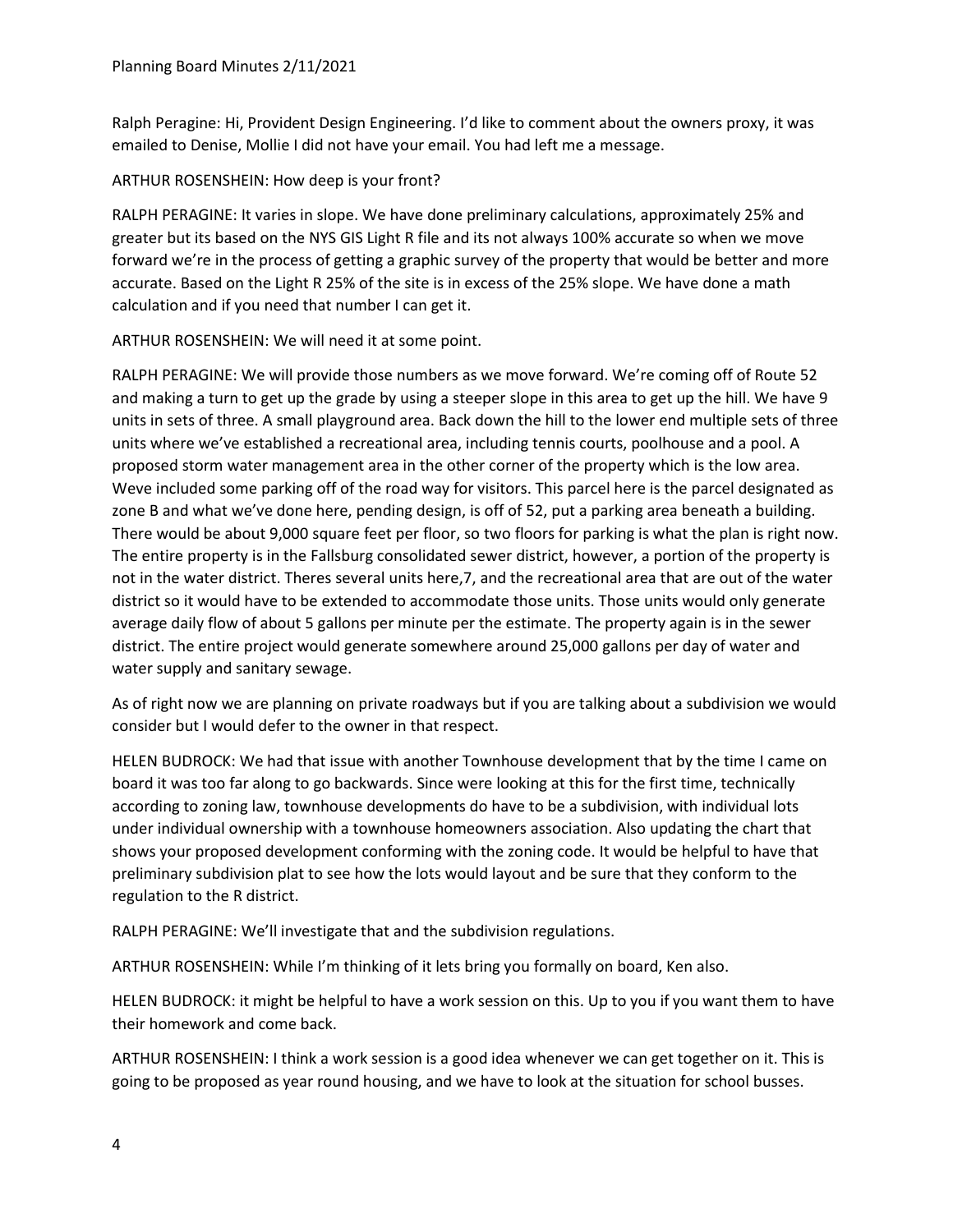Ralph Peragine: Hi, Provident Design Engineering. I'd like to comment about the owners proxy, it was emailed to Denise, Mollie I did not have your email. You had left me a message.

## ARTHUR ROSENSHEIN: How deep is your front?

RALPH PERAGINE: It varies in slope. We have done preliminary calculations, approximately 25% and greater but its based on the NYS GIS Light R file and its not always 100% accurate so when we move forward we're in the process of getting a graphic survey of the property that would be better and more accurate. Based on the Light R 25% of the site is in excess of the 25% slope. We have done a math calculation and if you need that number I can get it.

ARTHUR ROSENSHEIN: We will need it at some point.

RALPH PERAGINE: We will provide those numbers as we move forward. We're coming off of Route 52 and making a turn to get up the grade by using a steeper slope in this area to get up the hill. We have 9 units in sets of three. A small playground area. Back down the hill to the lower end multiple sets of three units where we've established a recreational area, including tennis courts, poolhouse and a pool. A proposed storm water management area in the other corner of the property which is the low area. Weve included some parking off of the road way for visitors. This parcel here is the parcel designated as zone B and what we've done here, pending design, is off of 52, put a parking area beneath a building. There would be about 9,000 square feet per floor, so two floors for parking is what the plan is right now. The entire property is in the Fallsburg consolidated sewer district, however, a portion of the property is not in the water district. Theres several units here,7, and the recreational area that are out of the water district so it would have to be extended to accommodate those units. Those units would only generate average daily flow of about 5 gallons per minute per the estimate. The property again is in the sewer district. The entire project would generate somewhere around 25,000 gallons per day of water and water supply and sanitary sewage.

As of right now we are planning on private roadways but if you are talking about a subdivision we would consider but I would defer to the owner in that respect.

HELEN BUDROCK: We had that issue with another Townhouse development that by the time I came on board it was too far along to go backwards. Since were looking at this for the first time, technically according to zoning law, townhouse developments do have to be a subdivision, with individual lots under individual ownership with a townhouse homeowners association. Also updating the chart that shows your proposed development conforming with the zoning code. It would be helpful to have that preliminary subdivision plat to see how the lots would layout and be sure that they conform to the regulation to the R district.

RALPH PERAGINE: We'll investigate that and the subdivision regulations.

ARTHUR ROSENSHEIN: While I'm thinking of it lets bring you formally on board, Ken also.

HELEN BUDROCK: it might be helpful to have a work session on this. Up to you if you want them to have their homework and come back.

ARTHUR ROSENSHEIN: I think a work session is a good idea whenever we can get together on it. This is going to be proposed as year round housing, and we have to look at the situation for school busses.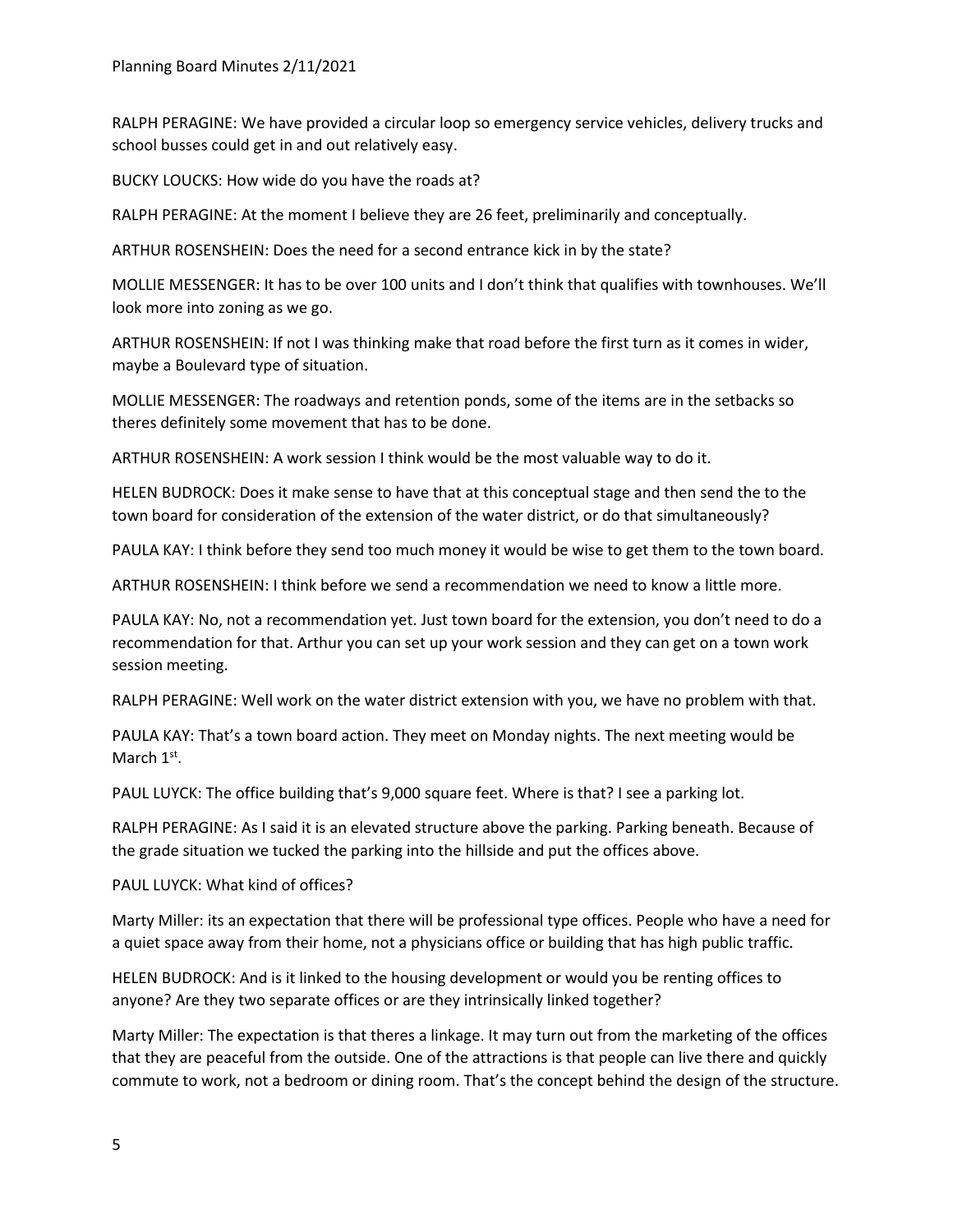RALPH PERAGINE: We have provided a circular loop so emergency service vehicles, delivery trucks and school busses could get in and out relatively easy.

BUCKY LOUCKS: How wide do you have the roads at?

RALPH PERAGINE: At the moment I believe they are 26 feet, preliminarily and conceptually.

ARTHUR ROSENSHEIN: Does the need for a second entrance kick in by the state?

MOLLIE MESSENGER: It has to be over 100 units and I don't think that qualifies with townhouses. We'll look more into zoning as we go.

ARTHUR ROSENSHEIN: If not I was thinking make that road before the first turn as it comes in wider, maybe a Boulevard type of situation.

MOLLIE MESSENGER: The roadways and retention ponds, some of the items are in the setbacks so theres definitely some movement that has to be done.

ARTHUR ROSENSHEIN: A work session I think would be the most valuable way to do it.

HELEN BUDROCK: Does it make sense to have that at this conceptual stage and then send the to the town board for consideration of the extension of the water district, or do that simultaneously?

PAULA KAY: I think before they send too much money it would be wise to get them to the town board.

ARTHUR ROSENSHEIN: I think before we send a recommendation we need to know a little more.

PAULA KAY: No, not a recommendation yet. Just town board for the extension, you don't need to do a recommendation for that. Arthur you can set up your work session and they can get on a town work session meeting.

RALPH PERAGINE: Well work on the water district extension with you, we have no problem with that.

PAULA KAY: That's a town board action. They meet on Monday nights. The next meeting would be March 1<sup>st</sup>.

PAUL LUYCK: The office building that's 9,000 square feet. Where is that? I see a parking lot.

RALPH PERAGINE: As I said it is an elevated structure above the parking. Parking beneath. Because of the grade situation we tucked the parking into the hillside and put the offices above.

#### PAUL LUYCK: What kind of offices?

Marty Miller: its an expectation that there will be professional type offices. People who have a need for a quiet space away from their home, not a physicians office or building that has high public traffic.

HELEN BUDROCK: And is it linked to the housing development or would you be renting offices to anyone? Are they two separate offices or are they intrinsically linked together?

Marty Miller: The expectation is that theres a linkage. It may turn out from the marketing of the offices that they are peaceful from the outside. One of the attractions is that people can live there and quickly commute to work, not a bedroom or dining room. That's the concept behind the design of the structure.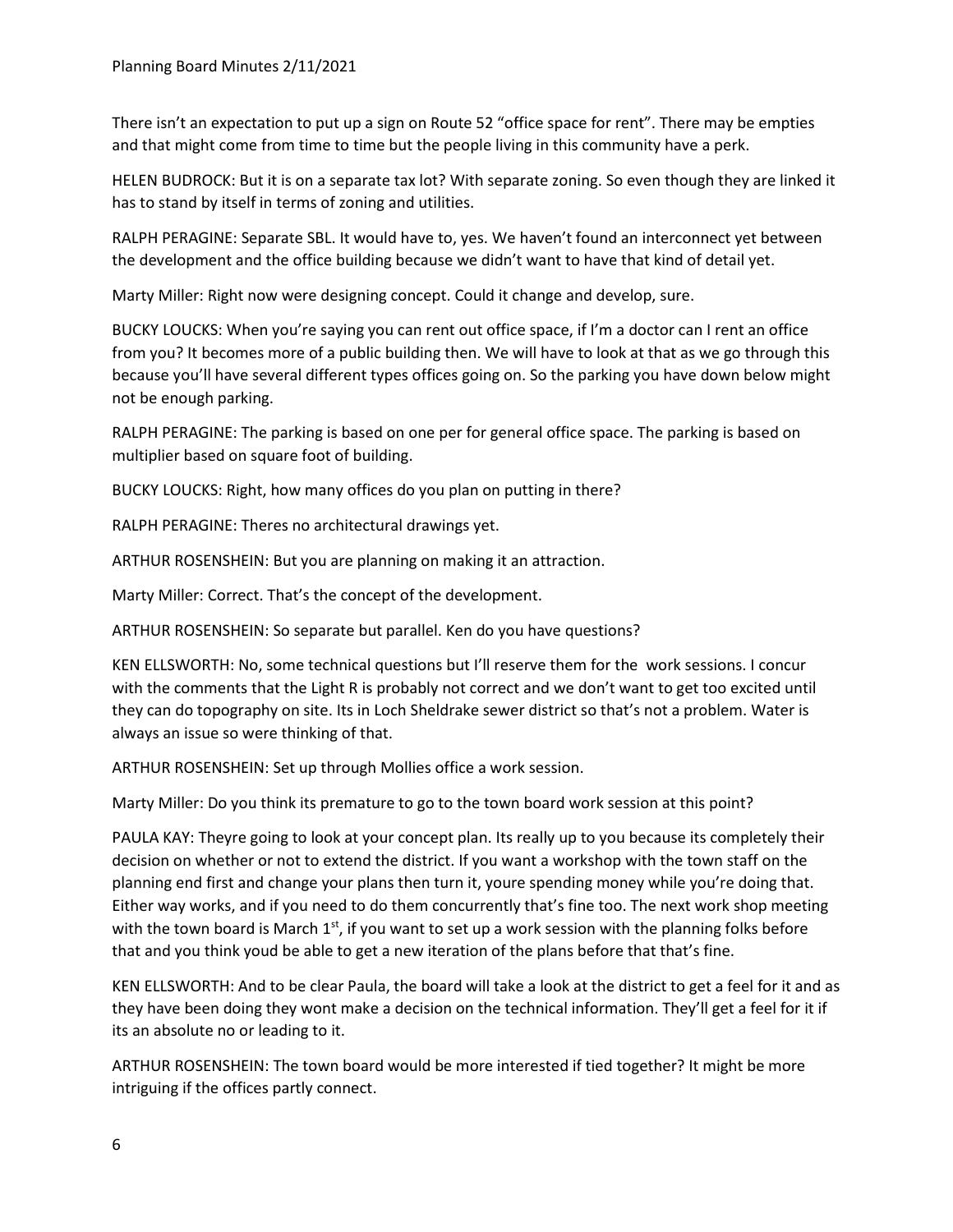There isn't an expectation to put up a sign on Route 52 "office space for rent". There may be empties and that might come from time to time but the people living in this community have a perk.

HELEN BUDROCK: But it is on a separate tax lot? With separate zoning. So even though they are linked it has to stand by itself in terms of zoning and utilities.

RALPH PERAGINE: Separate SBL. It would have to, yes. We haven't found an interconnect yet between the development and the office building because we didn't want to have that kind of detail yet.

Marty Miller: Right now were designing concept. Could it change and develop, sure.

BUCKY LOUCKS: When you're saying you can rent out office space, if I'm a doctor can I rent an office from you? It becomes more of a public building then. We will have to look at that as we go through this because you'll have several different types offices going on. So the parking you have down below might not be enough parking.

RALPH PERAGINE: The parking is based on one per for general office space. The parking is based on multiplier based on square foot of building.

BUCKY LOUCKS: Right, how many offices do you plan on putting in there?

RALPH PERAGINE: Theres no architectural drawings yet.

ARTHUR ROSENSHEIN: But you are planning on making it an attraction.

Marty Miller: Correct. That's the concept of the development.

ARTHUR ROSENSHEIN: So separate but parallel. Ken do you have questions?

KEN ELLSWORTH: No, some technical questions but I'll reserve them for the work sessions. I concur with the comments that the Light R is probably not correct and we don't want to get too excited until they can do topography on site. Its in Loch Sheldrake sewer district so that's not a problem. Water is always an issue so were thinking of that.

ARTHUR ROSENSHEIN: Set up through Mollies office a work session.

Marty Miller: Do you think its premature to go to the town board work session at this point?

PAULA KAY: Theyre going to look at your concept plan. Its really up to you because its completely their decision on whether or not to extend the district. If you want a workshop with the town staff on the planning end first and change your plans then turn it, youre spending money while you're doing that. Either way works, and if you need to do them concurrently that's fine too. The next work shop meeting with the town board is March  $1<sup>st</sup>$ , if you want to set up a work session with the planning folks before that and you think youd be able to get a new iteration of the plans before that that's fine.

KEN ELLSWORTH: And to be clear Paula, the board will take a look at the district to get a feel for it and as they have been doing they wont make a decision on the technical information. They'll get a feel for it if its an absolute no or leading to it.

ARTHUR ROSENSHEIN: The town board would be more interested if tied together? It might be more intriguing if the offices partly connect.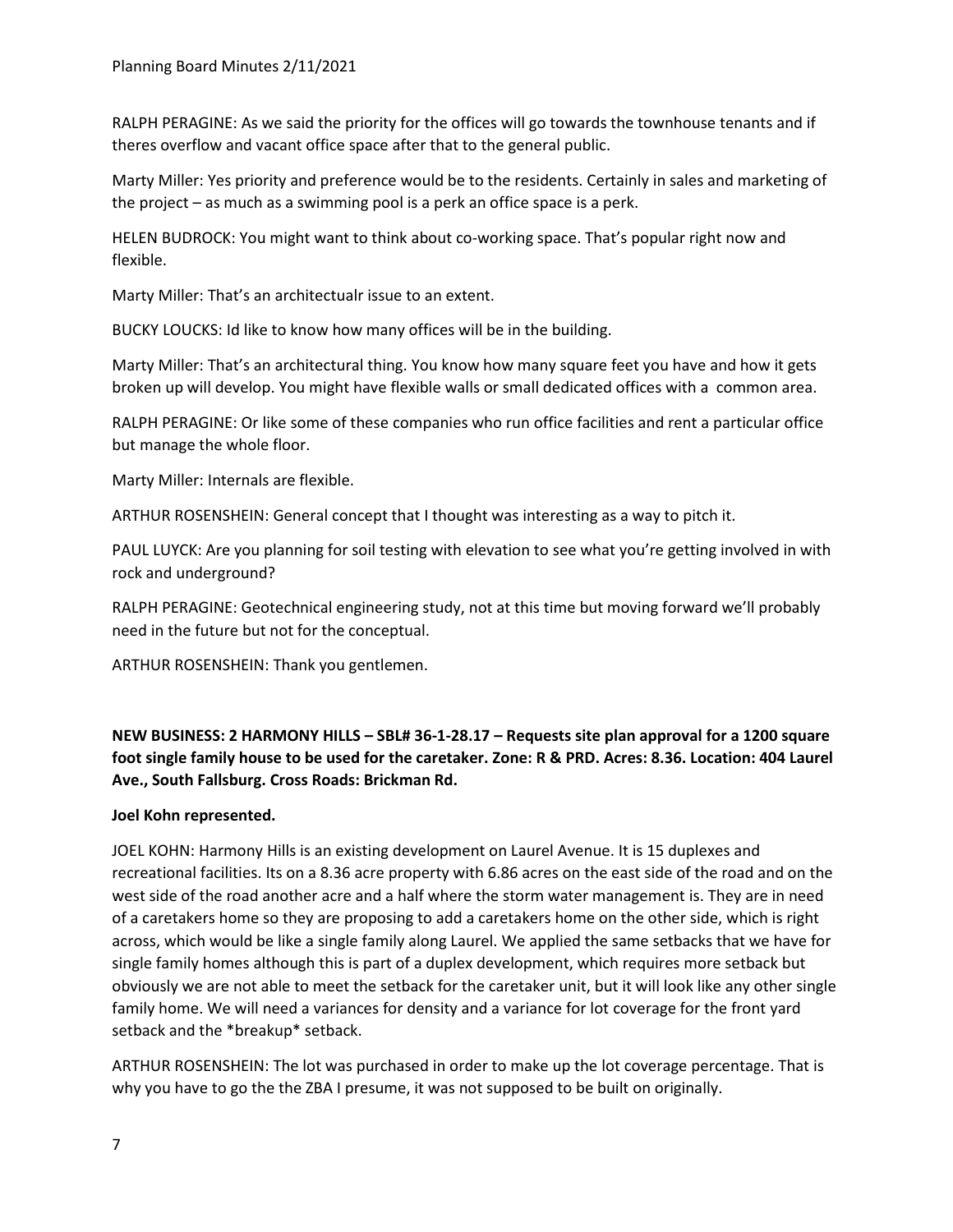RALPH PERAGINE: As we said the priority for the offices will go towards the townhouse tenants and if theres overflow and vacant office space after that to the general public.

Marty Miller: Yes priority and preference would be to the residents. Certainly in sales and marketing of the project – as much as a swimming pool is a perk an office space is a perk.

HELEN BUDROCK: You might want to think about co-working space. That's popular right now and flexible.

Marty Miller: That's an architectualr issue to an extent.

BUCKY LOUCKS: Id like to know how many offices will be in the building.

Marty Miller: That's an architectural thing. You know how many square feet you have and how it gets broken up will develop. You might have flexible walls or small dedicated offices with a common area.

RALPH PERAGINE: Or like some of these companies who run office facilities and rent a particular office but manage the whole floor.

Marty Miller: Internals are flexible.

ARTHUR ROSENSHEIN: General concept that I thought was interesting as a way to pitch it.

PAUL LUYCK: Are you planning for soil testing with elevation to see what you're getting involved in with rock and underground?

RALPH PERAGINE: Geotechnical engineering study, not at this time but moving forward we'll probably need in the future but not for the conceptual.

ARTHUR ROSENSHEIN: Thank you gentlemen.

# **NEW BUSINESS: 2 HARMONY HILLS – SBL# 36-1-28.17 – Requests site plan approval for a 1200 square foot single family house to be used for the caretaker. Zone: R & PRD. Acres: 8.36. Location: 404 Laurel Ave., South Fallsburg. Cross Roads: Brickman Rd.**

## **Joel Kohn represented.**

JOEL KOHN: Harmony Hills is an existing development on Laurel Avenue. It is 15 duplexes and recreational facilities. Its on a 8.36 acre property with 6.86 acres on the east side of the road and on the west side of the road another acre and a half where the storm water management is. They are in need of a caretakers home so they are proposing to add a caretakers home on the other side, which is right across, which would be like a single family along Laurel. We applied the same setbacks that we have for single family homes although this is part of a duplex development, which requires more setback but obviously we are not able to meet the setback for the caretaker unit, but it will look like any other single family home. We will need a variances for density and a variance for lot coverage for the front yard setback and the \*breakup\* setback.

ARTHUR ROSENSHEIN: The lot was purchased in order to make up the lot coverage percentage. That is why you have to go the the ZBA I presume, it was not supposed to be built on originally.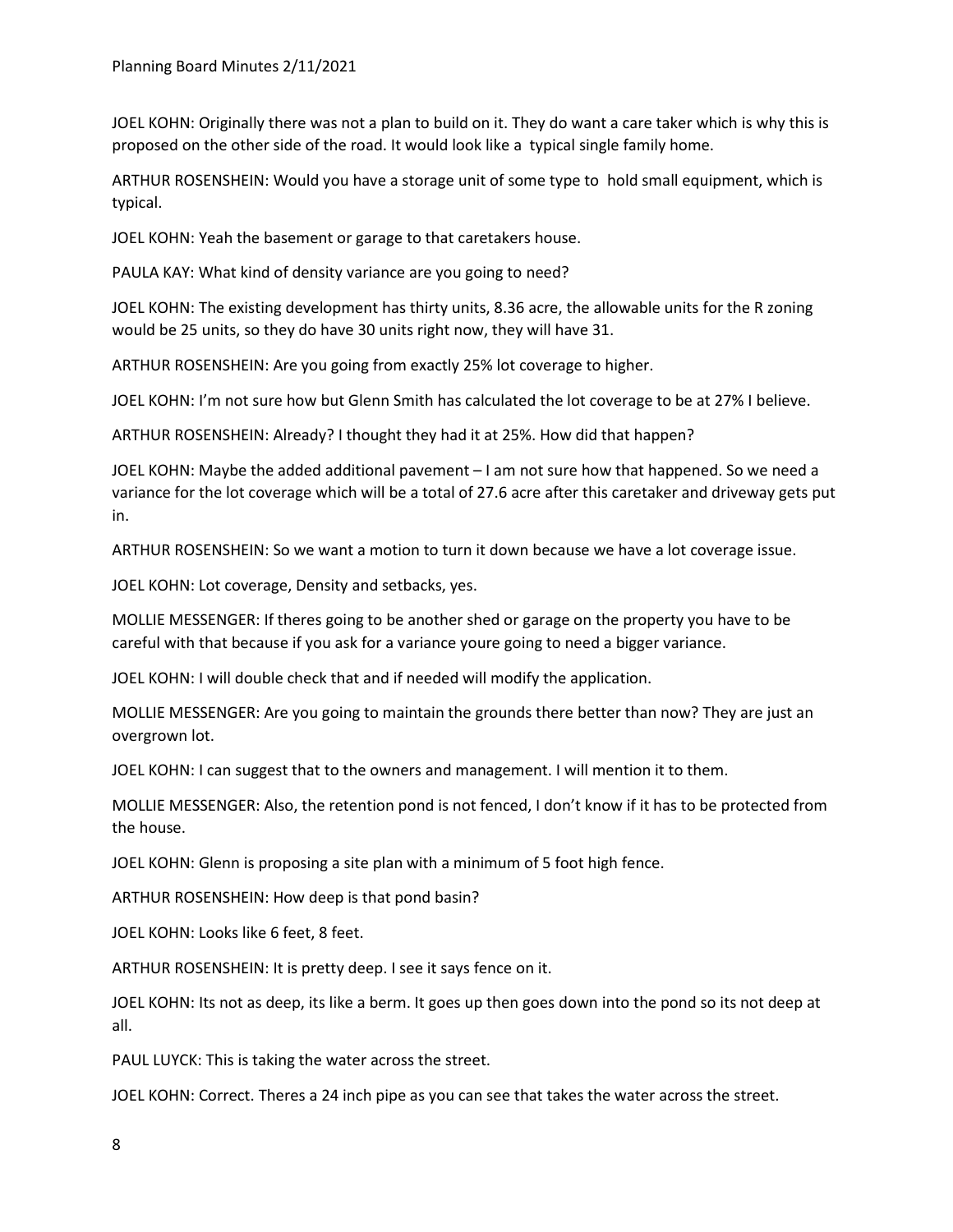JOEL KOHN: Originally there was not a plan to build on it. They do want a care taker which is why this is proposed on the other side of the road. It would look like a typical single family home.

ARTHUR ROSENSHEIN: Would you have a storage unit of some type to hold small equipment, which is typical.

JOEL KOHN: Yeah the basement or garage to that caretakers house.

PAULA KAY: What kind of density variance are you going to need?

JOEL KOHN: The existing development has thirty units, 8.36 acre, the allowable units for the R zoning would be 25 units, so they do have 30 units right now, they will have 31.

ARTHUR ROSENSHEIN: Are you going from exactly 25% lot coverage to higher.

JOEL KOHN: I'm not sure how but Glenn Smith has calculated the lot coverage to be at 27% I believe.

ARTHUR ROSENSHEIN: Already? I thought they had it at 25%. How did that happen?

JOEL KOHN: Maybe the added additional pavement – I am not sure how that happened. So we need a variance for the lot coverage which will be a total of 27.6 acre after this caretaker and driveway gets put in.

ARTHUR ROSENSHEIN: So we want a motion to turn it down because we have a lot coverage issue.

JOEL KOHN: Lot coverage, Density and setbacks, yes.

MOLLIE MESSENGER: If theres going to be another shed or garage on the property you have to be careful with that because if you ask for a variance youre going to need a bigger variance.

JOEL KOHN: I will double check that and if needed will modify the application.

MOLLIE MESSENGER: Are you going to maintain the grounds there better than now? They are just an overgrown lot.

JOEL KOHN: I can suggest that to the owners and management. I will mention it to them.

MOLLIE MESSENGER: Also, the retention pond is not fenced, I don't know if it has to be protected from the house.

JOEL KOHN: Glenn is proposing a site plan with a minimum of 5 foot high fence.

ARTHUR ROSENSHEIN: How deep is that pond basin?

JOEL KOHN: Looks like 6 feet, 8 feet.

ARTHUR ROSENSHEIN: It is pretty deep. I see it says fence on it.

JOEL KOHN: Its not as deep, its like a berm. It goes up then goes down into the pond so its not deep at all.

PAUL LUYCK: This is taking the water across the street.

JOEL KOHN: Correct. Theres a 24 inch pipe as you can see that takes the water across the street.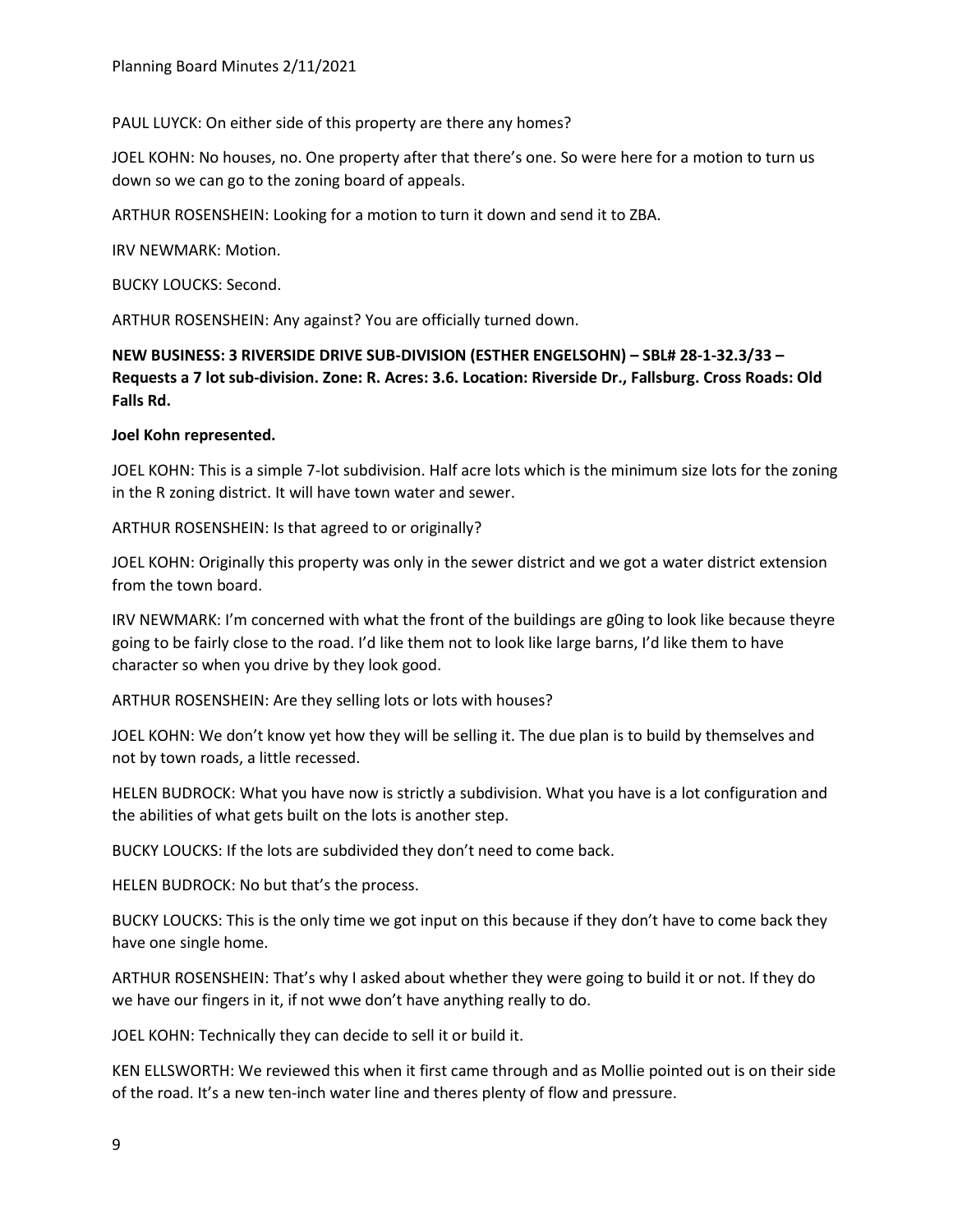PAUL LUYCK: On either side of this property are there any homes?

JOEL KOHN: No houses, no. One property after that there's one. So were here for a motion to turn us down so we can go to the zoning board of appeals.

ARTHUR ROSENSHEIN: Looking for a motion to turn it down and send it to ZBA.

IRV NEWMARK: Motion.

BUCKY LOUCKS: Second.

ARTHUR ROSENSHEIN: Any against? You are officially turned down.

**NEW BUSINESS: 3 RIVERSIDE DRIVE SUB-DIVISION (ESTHER ENGELSOHN) – SBL# 28-1-32.3/33 – Requests a 7 lot sub-division. Zone: R. Acres: 3.6. Location: Riverside Dr., Fallsburg. Cross Roads: Old Falls Rd.**

# **Joel Kohn represented.**

JOEL KOHN: This is a simple 7-lot subdivision. Half acre lots which is the minimum size lots for the zoning in the R zoning district. It will have town water and sewer.

ARTHUR ROSENSHEIN: Is that agreed to or originally?

JOEL KOHN: Originally this property was only in the sewer district and we got a water district extension from the town board.

IRV NEWMARK: I'm concerned with what the front of the buildings are g0ing to look like because theyre going to be fairly close to the road. I'd like them not to look like large barns, I'd like them to have character so when you drive by they look good.

ARTHUR ROSENSHEIN: Are they selling lots or lots with houses?

JOEL KOHN: We don't know yet how they will be selling it. The due plan is to build by themselves and not by town roads, a little recessed.

HELEN BUDROCK: What you have now is strictly a subdivision. What you have is a lot configuration and the abilities of what gets built on the lots is another step.

BUCKY LOUCKS: If the lots are subdivided they don't need to come back.

HELEN BUDROCK: No but that's the process.

BUCKY LOUCKS: This is the only time we got input on this because if they don't have to come back they have one single home.

ARTHUR ROSENSHEIN: That's why I asked about whether they were going to build it or not. If they do we have our fingers in it, if not wwe don't have anything really to do.

JOEL KOHN: Technically they can decide to sell it or build it.

KEN ELLSWORTH: We reviewed this when it first came through and as Mollie pointed out is on their side of the road. It's a new ten-inch water line and theres plenty of flow and pressure.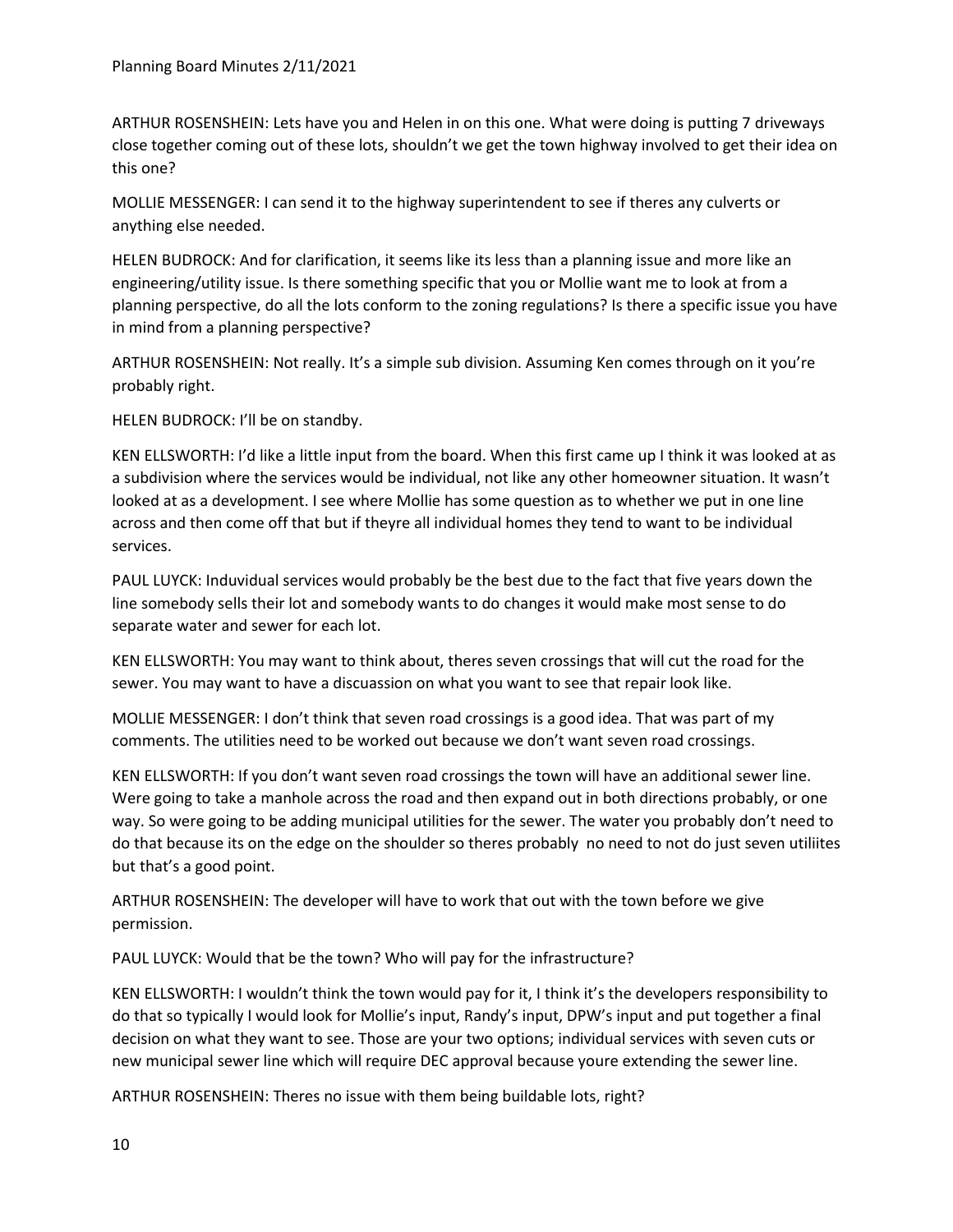ARTHUR ROSENSHEIN: Lets have you and Helen in on this one. What were doing is putting 7 driveways close together coming out of these lots, shouldn't we get the town highway involved to get their idea on this one?

MOLLIE MESSENGER: I can send it to the highway superintendent to see if theres any culverts or anything else needed.

HELEN BUDROCK: And for clarification, it seems like its less than a planning issue and more like an engineering/utility issue. Is there something specific that you or Mollie want me to look at from a planning perspective, do all the lots conform to the zoning regulations? Is there a specific issue you have in mind from a planning perspective?

ARTHUR ROSENSHEIN: Not really. It's a simple sub division. Assuming Ken comes through on it you're probably right.

HELEN BUDROCK: I'll be on standby.

KEN ELLSWORTH: I'd like a little input from the board. When this first came up I think it was looked at as a subdivision where the services would be individual, not like any other homeowner situation. It wasn't looked at as a development. I see where Mollie has some question as to whether we put in one line across and then come off that but if theyre all individual homes they tend to want to be individual services.

PAUL LUYCK: Induvidual services would probably be the best due to the fact that five years down the line somebody sells their lot and somebody wants to do changes it would make most sense to do separate water and sewer for each lot.

KEN ELLSWORTH: You may want to think about, theres seven crossings that will cut the road for the sewer. You may want to have a discuassion on what you want to see that repair look like.

MOLLIE MESSENGER: I don't think that seven road crossings is a good idea. That was part of my comments. The utilities need to be worked out because we don't want seven road crossings.

KEN ELLSWORTH: If you don't want seven road crossings the town will have an additional sewer line. Were going to take a manhole across the road and then expand out in both directions probably, or one way. So were going to be adding municipal utilities for the sewer. The water you probably don't need to do that because its on the edge on the shoulder so theres probably no need to not do just seven utiliites but that's a good point.

ARTHUR ROSENSHEIN: The developer will have to work that out with the town before we give permission.

PAUL LUYCK: Would that be the town? Who will pay for the infrastructure?

KEN ELLSWORTH: I wouldn't think the town would pay for it, I think it's the developers responsibility to do that so typically I would look for Mollie's input, Randy's input, DPW's input and put together a final decision on what they want to see. Those are your two options; individual services with seven cuts or new municipal sewer line which will require DEC approval because youre extending the sewer line.

ARTHUR ROSENSHEIN: Theres no issue with them being buildable lots, right?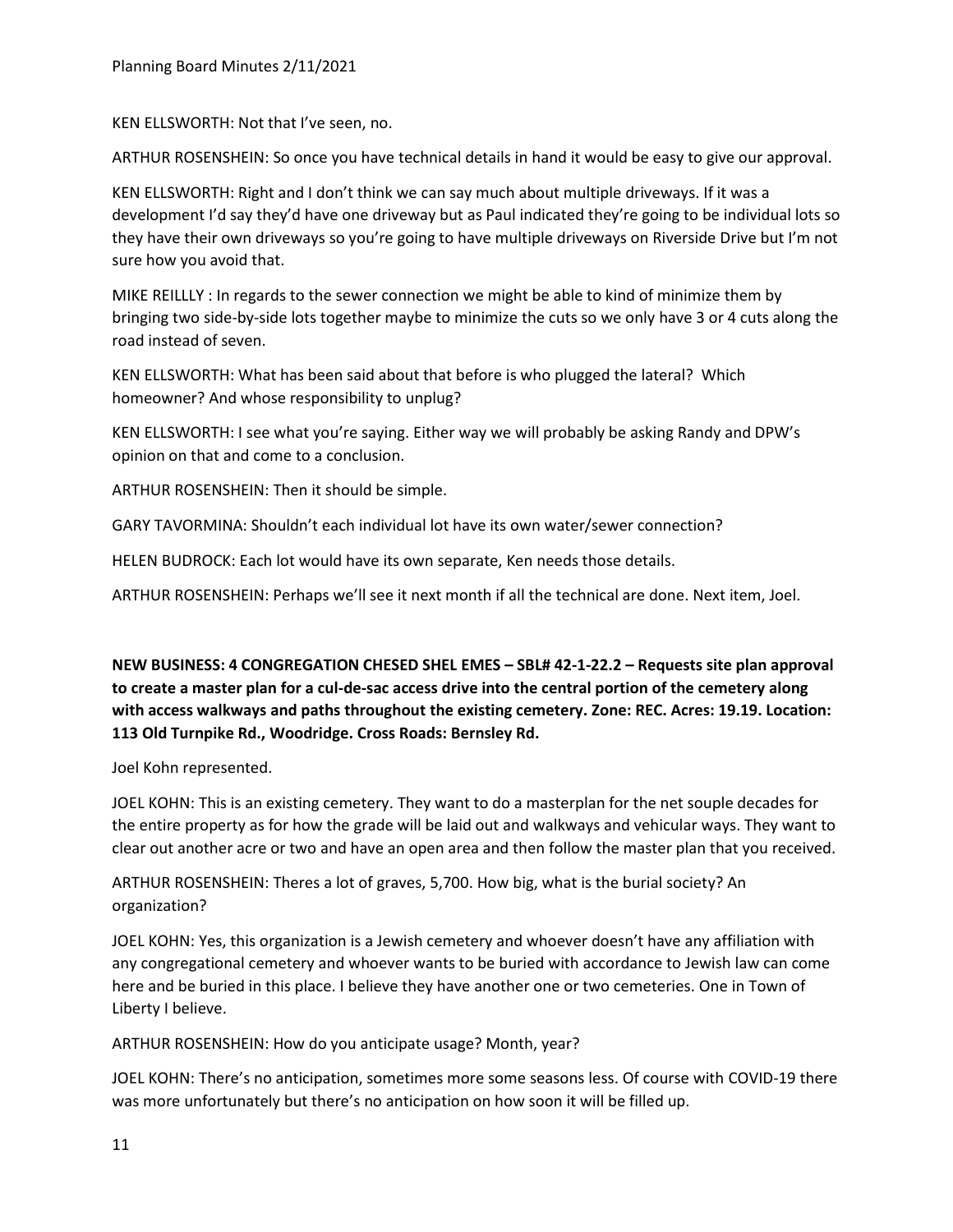KEN ELLSWORTH: Not that I've seen, no.

ARTHUR ROSENSHEIN: So once you have technical details in hand it would be easy to give our approval.

KEN ELLSWORTH: Right and I don't think we can say much about multiple driveways. If it was a development I'd say they'd have one driveway but as Paul indicated they're going to be individual lots so they have their own driveways so you're going to have multiple driveways on Riverside Drive but I'm not sure how you avoid that.

MIKE REILLLY : In regards to the sewer connection we might be able to kind of minimize them by bringing two side-by-side lots together maybe to minimize the cuts so we only have 3 or 4 cuts along the road instead of seven.

KEN ELLSWORTH: What has been said about that before is who plugged the lateral? Which homeowner? And whose responsibility to unplug?

KEN ELLSWORTH: I see what you're saying. Either way we will probably be asking Randy and DPW's opinion on that and come to a conclusion.

ARTHUR ROSENSHEIN: Then it should be simple.

GARY TAVORMINA: Shouldn't each individual lot have its own water/sewer connection?

HELEN BUDROCK: Each lot would have its own separate, Ken needs those details.

ARTHUR ROSENSHEIN: Perhaps we'll see it next month if all the technical are done. Next item, Joel.

**NEW BUSINESS: 4 CONGREGATION CHESED SHEL EMES – SBL# 42-1-22.2 – Requests site plan approval to create a master plan for a cul-de-sac access drive into the central portion of the cemetery along with access walkways and paths throughout the existing cemetery. Zone: REC. Acres: 19.19. Location: 113 Old Turnpike Rd., Woodridge. Cross Roads: Bernsley Rd.**

Joel Kohn represented.

JOEL KOHN: This is an existing cemetery. They want to do a masterplan for the net souple decades for the entire property as for how the grade will be laid out and walkways and vehicular ways. They want to clear out another acre or two and have an open area and then follow the master plan that you received.

ARTHUR ROSENSHEIN: Theres a lot of graves, 5,700. How big, what is the burial society? An organization?

JOEL KOHN: Yes, this organization is a Jewish cemetery and whoever doesn't have any affiliation with any congregational cemetery and whoever wants to be buried with accordance to Jewish law can come here and be buried in this place. I believe they have another one or two cemeteries. One in Town of Liberty I believe.

ARTHUR ROSENSHEIN: How do you anticipate usage? Month, year?

JOEL KOHN: There's no anticipation, sometimes more some seasons less. Of course with COVID-19 there was more unfortunately but there's no anticipation on how soon it will be filled up.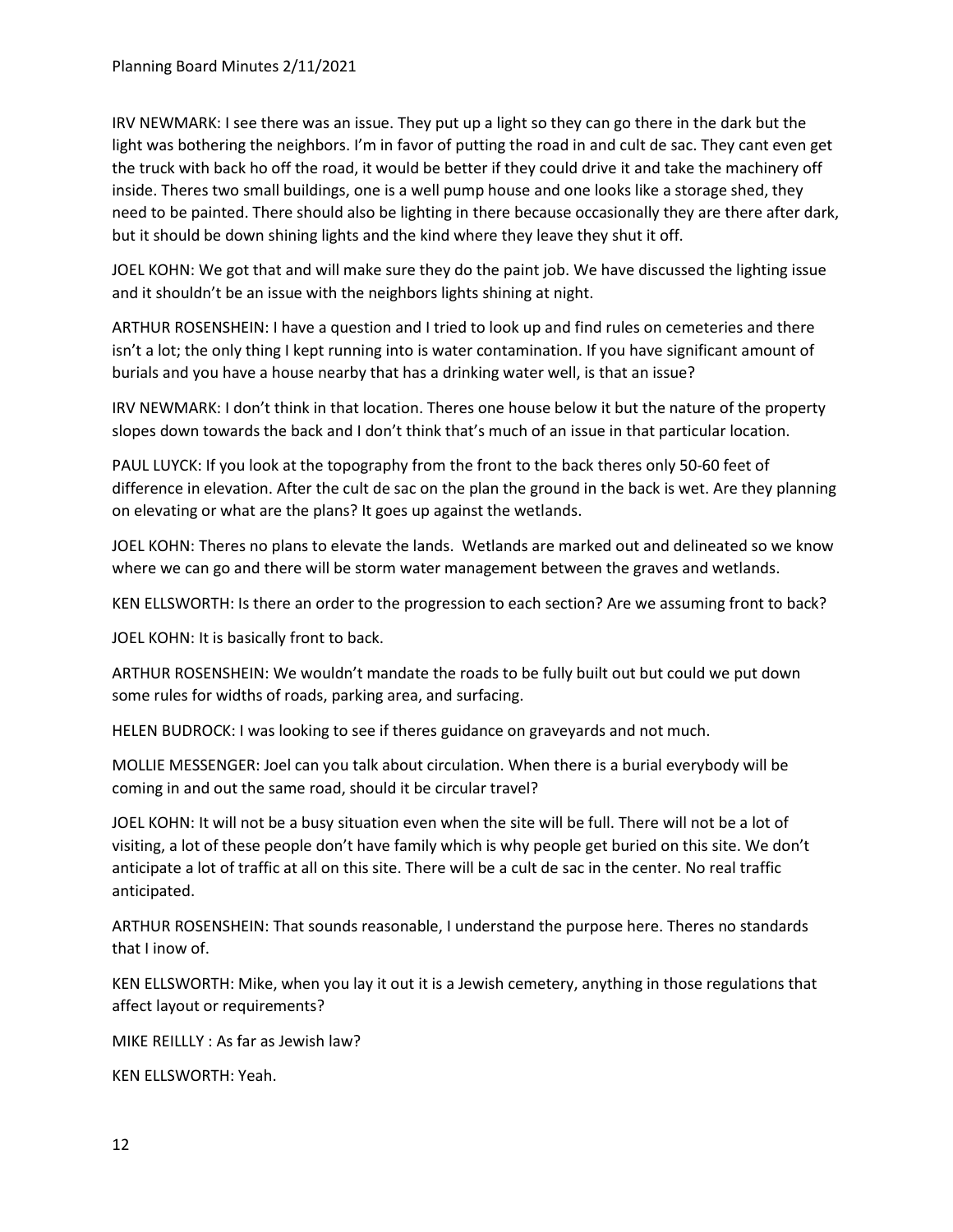IRV NEWMARK: I see there was an issue. They put up a light so they can go there in the dark but the light was bothering the neighbors. I'm in favor of putting the road in and cult de sac. They cant even get the truck with back ho off the road, it would be better if they could drive it and take the machinery off inside. Theres two small buildings, one is a well pump house and one looks like a storage shed, they need to be painted. There should also be lighting in there because occasionally they are there after dark, but it should be down shining lights and the kind where they leave they shut it off.

JOEL KOHN: We got that and will make sure they do the paint job. We have discussed the lighting issue and it shouldn't be an issue with the neighbors lights shining at night.

ARTHUR ROSENSHEIN: I have a question and I tried to look up and find rules on cemeteries and there isn't a lot; the only thing I kept running into is water contamination. If you have significant amount of burials and you have a house nearby that has a drinking water well, is that an issue?

IRV NEWMARK: I don't think in that location. Theres one house below it but the nature of the property slopes down towards the back and I don't think that's much of an issue in that particular location.

PAUL LUYCK: If you look at the topography from the front to the back theres only 50-60 feet of difference in elevation. After the cult de sac on the plan the ground in the back is wet. Are they planning on elevating or what are the plans? It goes up against the wetlands.

JOEL KOHN: Theres no plans to elevate the lands. Wetlands are marked out and delineated so we know where we can go and there will be storm water management between the graves and wetlands.

KEN ELLSWORTH: Is there an order to the progression to each section? Are we assuming front to back?

JOEL KOHN: It is basically front to back.

ARTHUR ROSENSHEIN: We wouldn't mandate the roads to be fully built out but could we put down some rules for widths of roads, parking area, and surfacing.

HELEN BUDROCK: I was looking to see if theres guidance on graveyards and not much.

MOLLIE MESSENGER: Joel can you talk about circulation. When there is a burial everybody will be coming in and out the same road, should it be circular travel?

JOEL KOHN: It will not be a busy situation even when the site will be full. There will not be a lot of visiting, a lot of these people don't have family which is why people get buried on this site. We don't anticipate a lot of traffic at all on this site. There will be a cult de sac in the center. No real traffic anticipated.

ARTHUR ROSENSHEIN: That sounds reasonable, I understand the purpose here. Theres no standards that I inow of.

KEN ELLSWORTH: Mike, when you lay it out it is a Jewish cemetery, anything in those regulations that affect layout or requirements?

MIKE REILLLY : As far as Jewish law?

KEN ELLSWORTH: Yeah.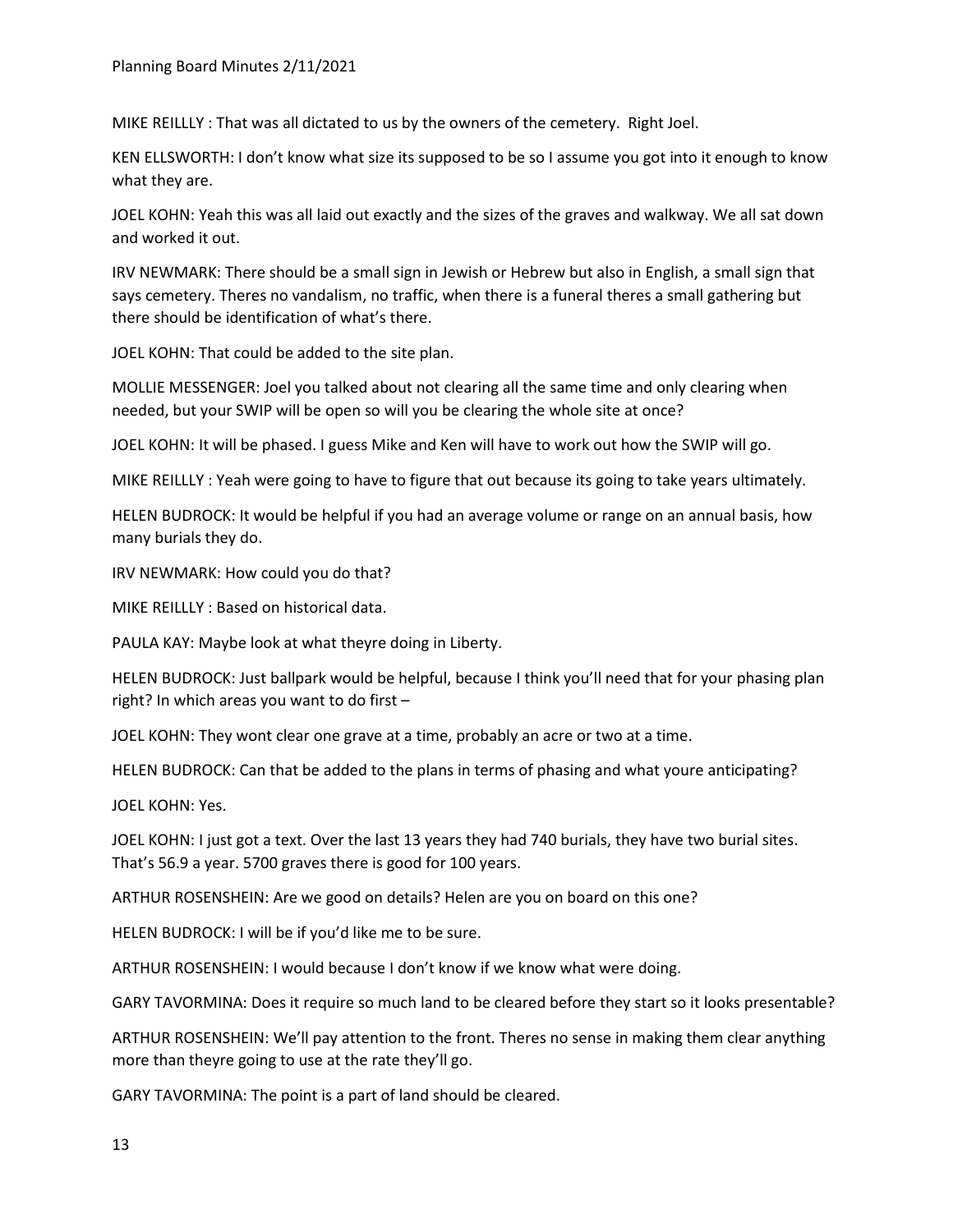MIKE REILLLY : That was all dictated to us by the owners of the cemetery. Right Joel.

KEN ELLSWORTH: I don't know what size its supposed to be so I assume you got into it enough to know what they are.

JOEL KOHN: Yeah this was all laid out exactly and the sizes of the graves and walkway. We all sat down and worked it out.

IRV NEWMARK: There should be a small sign in Jewish or Hebrew but also in English, a small sign that says cemetery. Theres no vandalism, no traffic, when there is a funeral theres a small gathering but there should be identification of what's there.

JOEL KOHN: That could be added to the site plan.

MOLLIE MESSENGER: Joel you talked about not clearing all the same time and only clearing when needed, but your SWIP will be open so will you be clearing the whole site at once?

JOEL KOHN: It will be phased. I guess Mike and Ken will have to work out how the SWIP will go.

MIKE REILLLY : Yeah were going to have to figure that out because its going to take years ultimately.

HELEN BUDROCK: It would be helpful if you had an average volume or range on an annual basis, how many burials they do.

IRV NEWMARK: How could you do that?

MIKE REILLLY : Based on historical data.

PAULA KAY: Maybe look at what theyre doing in Liberty.

HELEN BUDROCK: Just ballpark would be helpful, because I think you'll need that for your phasing plan right? In which areas you want to do first –

JOEL KOHN: They wont clear one grave at a time, probably an acre or two at a time.

HELEN BUDROCK: Can that be added to the plans in terms of phasing and what youre anticipating?

JOEL KOHN: Yes.

JOEL KOHN: I just got a text. Over the last 13 years they had 740 burials, they have two burial sites. That's 56.9 a year. 5700 graves there is good for 100 years.

ARTHUR ROSENSHEIN: Are we good on details? Helen are you on board on this one?

HELEN BUDROCK: I will be if you'd like me to be sure.

ARTHUR ROSENSHEIN: I would because I don't know if we know what were doing.

GARY TAVORMINA: Does it require so much land to be cleared before they start so it looks presentable?

ARTHUR ROSENSHEIN: We'll pay attention to the front. Theres no sense in making them clear anything more than theyre going to use at the rate they'll go.

GARY TAVORMINA: The point is a part of land should be cleared.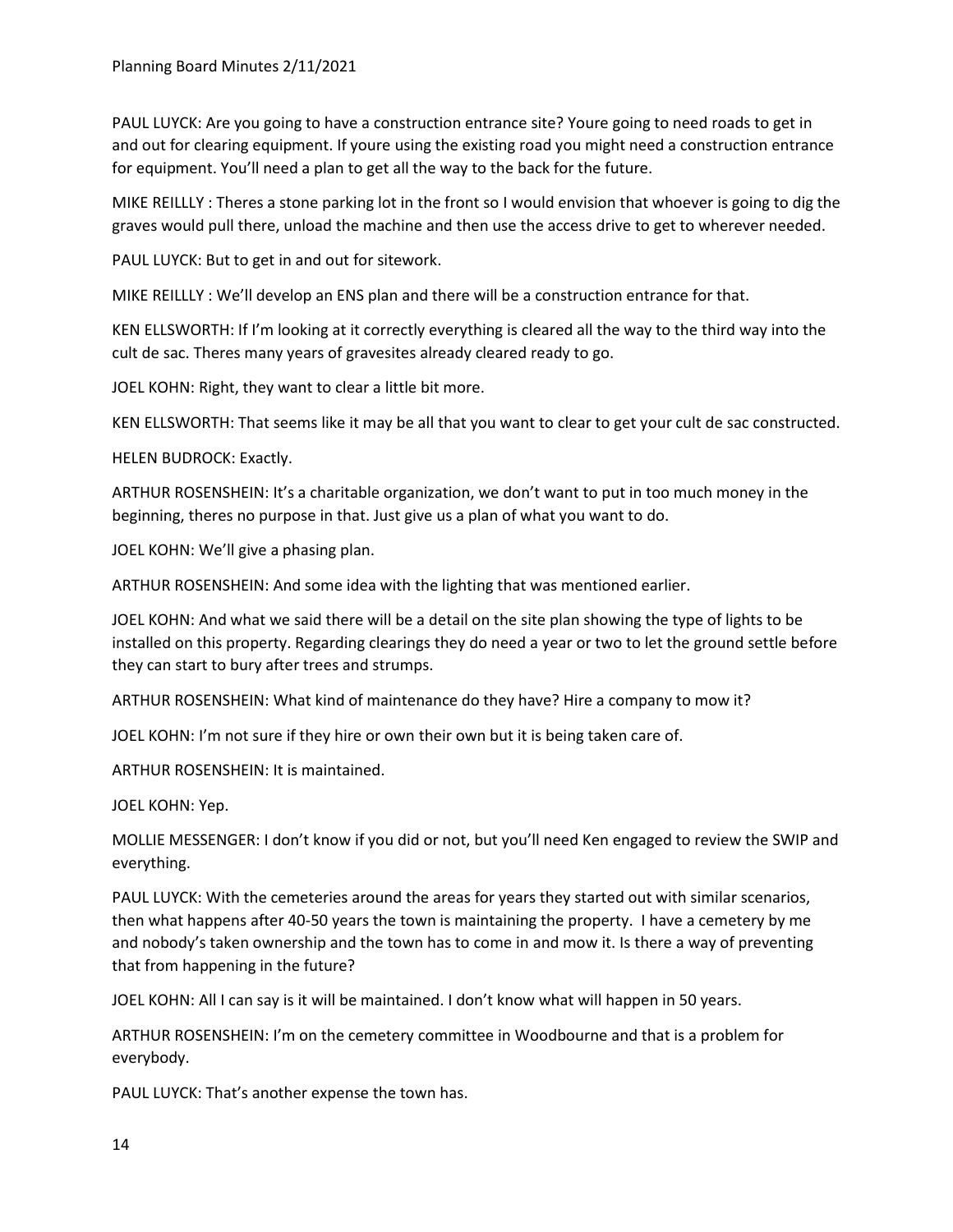PAUL LUYCK: Are you going to have a construction entrance site? Youre going to need roads to get in and out for clearing equipment. If youre using the existing road you might need a construction entrance for equipment. You'll need a plan to get all the way to the back for the future.

MIKE REILLLY : Theres a stone parking lot in the front so I would envision that whoever is going to dig the graves would pull there, unload the machine and then use the access drive to get to wherever needed.

PAUL LUYCK: But to get in and out for sitework.

MIKE REILLLY : We'll develop an ENS plan and there will be a construction entrance for that.

KEN ELLSWORTH: If I'm looking at it correctly everything is cleared all the way to the third way into the cult de sac. Theres many years of gravesites already cleared ready to go.

JOEL KOHN: Right, they want to clear a little bit more.

KEN ELLSWORTH: That seems like it may be all that you want to clear to get your cult de sac constructed.

HELEN BUDROCK: Exactly.

ARTHUR ROSENSHEIN: It's a charitable organization, we don't want to put in too much money in the beginning, theres no purpose in that. Just give us a plan of what you want to do.

JOEL KOHN: We'll give a phasing plan.

ARTHUR ROSENSHEIN: And some idea with the lighting that was mentioned earlier.

JOEL KOHN: And what we said there will be a detail on the site plan showing the type of lights to be installed on this property. Regarding clearings they do need a year or two to let the ground settle before they can start to bury after trees and strumps.

ARTHUR ROSENSHEIN: What kind of maintenance do they have? Hire a company to mow it?

JOEL KOHN: I'm not sure if they hire or own their own but it is being taken care of.

ARTHUR ROSENSHEIN: It is maintained.

JOEL KOHN: Yep.

MOLLIE MESSENGER: I don't know if you did or not, but you'll need Ken engaged to review the SWIP and everything.

PAUL LUYCK: With the cemeteries around the areas for years they started out with similar scenarios, then what happens after 40-50 years the town is maintaining the property. I have a cemetery by me and nobody's taken ownership and the town has to come in and mow it. Is there a way of preventing that from happening in the future?

JOEL KOHN: All I can say is it will be maintained. I don't know what will happen in 50 years.

ARTHUR ROSENSHEIN: I'm on the cemetery committee in Woodbourne and that is a problem for everybody.

PAUL LUYCK: That's another expense the town has.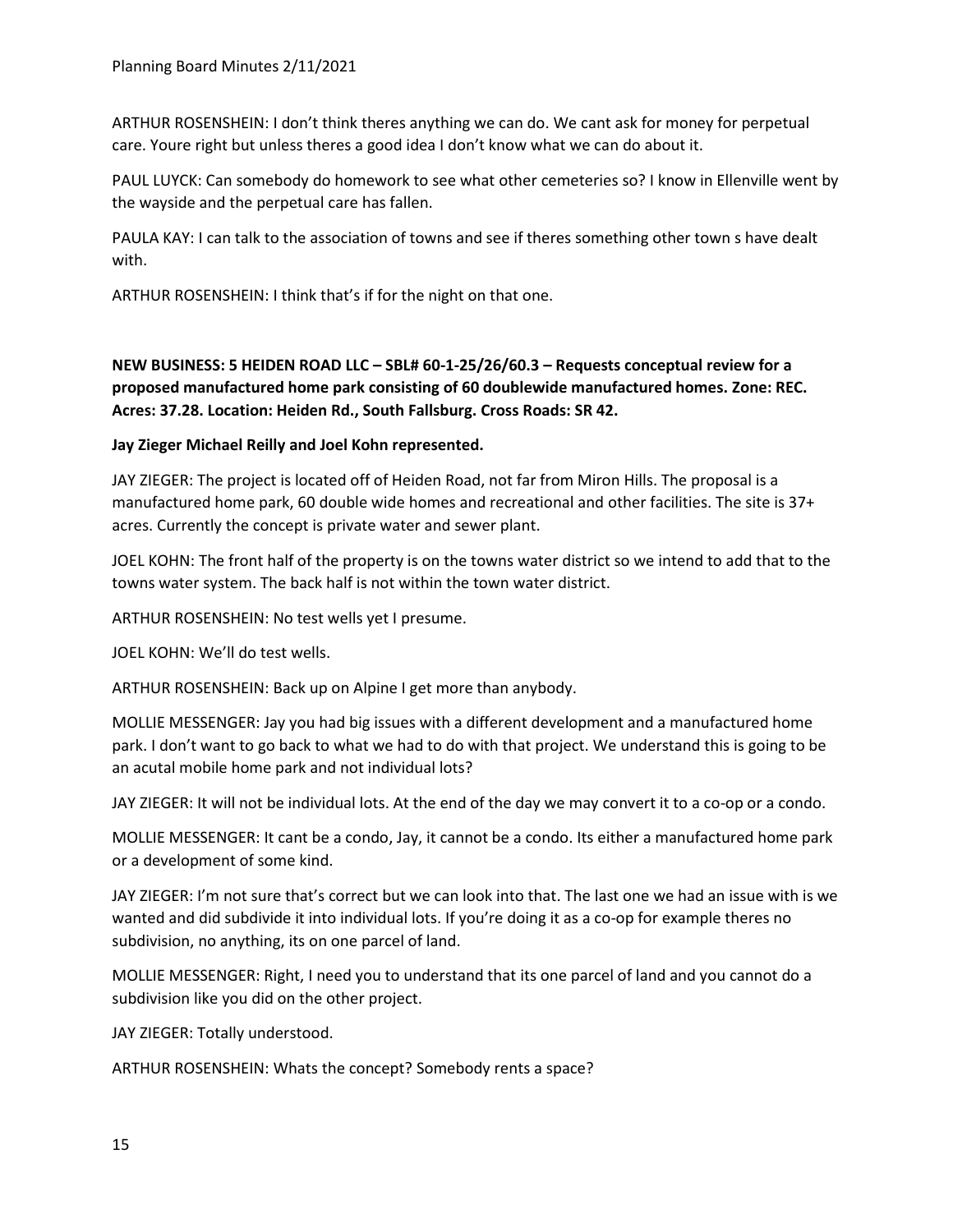ARTHUR ROSENSHEIN: I don't think theres anything we can do. We cant ask for money for perpetual care. Youre right but unless theres a good idea I don't know what we can do about it.

PAUL LUYCK: Can somebody do homework to see what other cemeteries so? I know in Ellenville went by the wayside and the perpetual care has fallen.

PAULA KAY: I can talk to the association of towns and see if theres something other town s have dealt with.

ARTHUR ROSENSHEIN: I think that's if for the night on that one.

**NEW BUSINESS: 5 HEIDEN ROAD LLC – SBL# 60-1-25/26/60.3 – Requests conceptual review for a proposed manufactured home park consisting of 60 doublewide manufactured homes. Zone: REC. Acres: 37.28. Location: Heiden Rd., South Fallsburg. Cross Roads: SR 42.**

**Jay Zieger Michael Reilly and Joel Kohn represented.**

JAY ZIEGER: The project is located off of Heiden Road, not far from Miron Hills. The proposal is a manufactured home park, 60 double wide homes and recreational and other facilities. The site is 37+ acres. Currently the concept is private water and sewer plant.

JOEL KOHN: The front half of the property is on the towns water district so we intend to add that to the towns water system. The back half is not within the town water district.

ARTHUR ROSENSHEIN: No test wells yet I presume.

JOEL KOHN: We'll do test wells.

ARTHUR ROSENSHEIN: Back up on Alpine I get more than anybody.

MOLLIE MESSENGER: Jay you had big issues with a different development and a manufactured home park. I don't want to go back to what we had to do with that project. We understand this is going to be an acutal mobile home park and not individual lots?

JAY ZIEGER: It will not be individual lots. At the end of the day we may convert it to a co-op or a condo.

MOLLIE MESSENGER: It cant be a condo, Jay, it cannot be a condo. Its either a manufactured home park or a development of some kind.

JAY ZIEGER: I'm not sure that's correct but we can look into that. The last one we had an issue with is we wanted and did subdivide it into individual lots. If you're doing it as a co-op for example theres no subdivision, no anything, its on one parcel of land.

MOLLIE MESSENGER: Right, I need you to understand that its one parcel of land and you cannot do a subdivision like you did on the other project.

JAY ZIEGER: Totally understood.

ARTHUR ROSENSHEIN: Whats the concept? Somebody rents a space?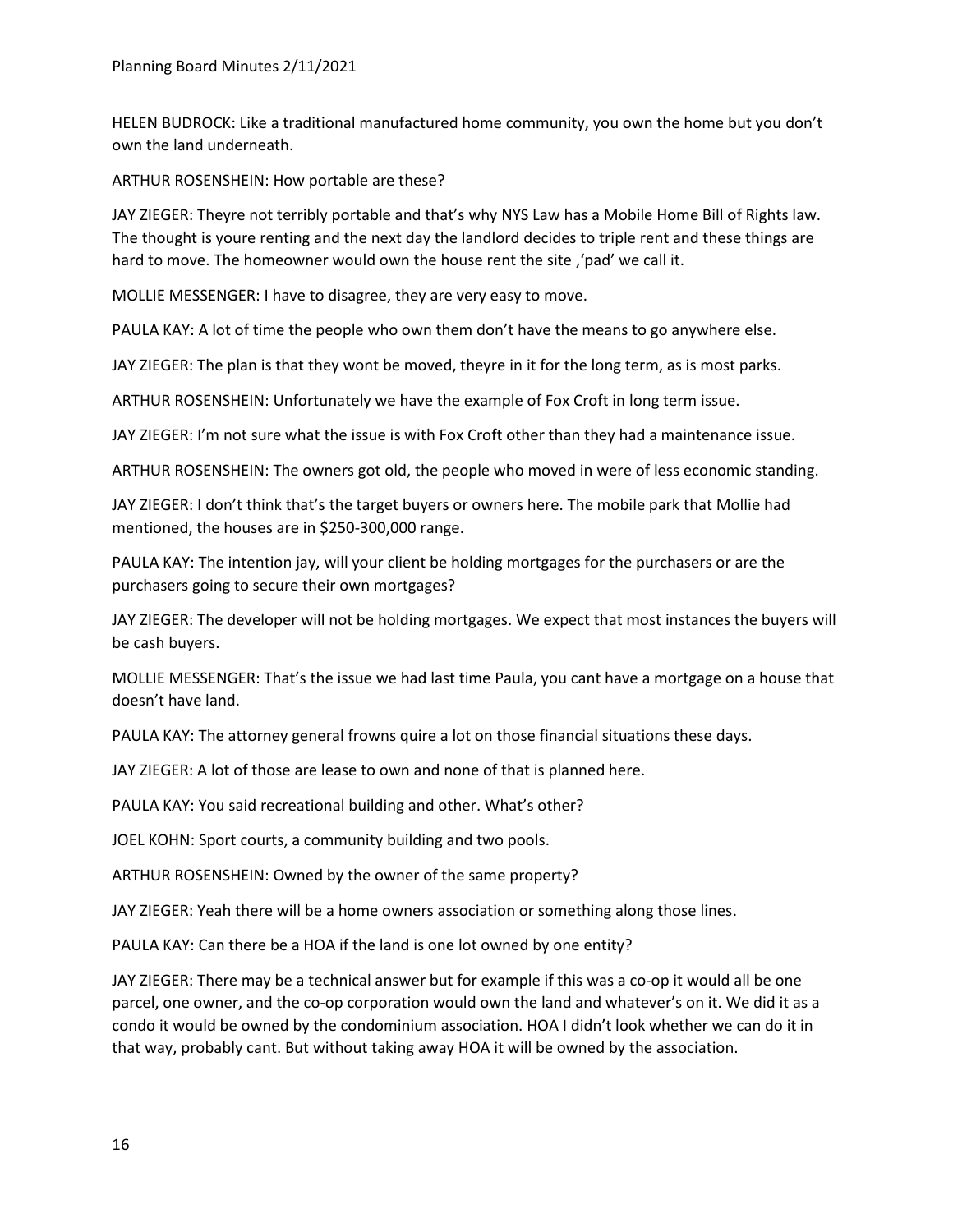HELEN BUDROCK: Like a traditional manufactured home community, you own the home but you don't own the land underneath.

ARTHUR ROSENSHEIN: How portable are these?

JAY ZIEGER: Theyre not terribly portable and that's why NYS Law has a Mobile Home Bill of Rights law. The thought is youre renting and the next day the landlord decides to triple rent and these things are hard to move. The homeowner would own the house rent the site, 'pad' we call it.

MOLLIE MESSENGER: I have to disagree, they are very easy to move.

PAULA KAY: A lot of time the people who own them don't have the means to go anywhere else.

JAY ZIEGER: The plan is that they wont be moved, theyre in it for the long term, as is most parks.

ARTHUR ROSENSHEIN: Unfortunately we have the example of Fox Croft in long term issue.

JAY ZIEGER: I'm not sure what the issue is with Fox Croft other than they had a maintenance issue.

ARTHUR ROSENSHEIN: The owners got old, the people who moved in were of less economic standing.

JAY ZIEGER: I don't think that's the target buyers or owners here. The mobile park that Mollie had mentioned, the houses are in \$250-300,000 range.

PAULA KAY: The intention jay, will your client be holding mortgages for the purchasers or are the purchasers going to secure their own mortgages?

JAY ZIEGER: The developer will not be holding mortgages. We expect that most instances the buyers will be cash buyers.

MOLLIE MESSENGER: That's the issue we had last time Paula, you cant have a mortgage on a house that doesn't have land.

PAULA KAY: The attorney general frowns quire a lot on those financial situations these days.

JAY ZIEGER: A lot of those are lease to own and none of that is planned here.

PAULA KAY: You said recreational building and other. What's other?

JOEL KOHN: Sport courts, a community building and two pools.

ARTHUR ROSENSHEIN: Owned by the owner of the same property?

JAY ZIEGER: Yeah there will be a home owners association or something along those lines.

PAULA KAY: Can there be a HOA if the land is one lot owned by one entity?

JAY ZIEGER: There may be a technical answer but for example if this was a co-op it would all be one parcel, one owner, and the co-op corporation would own the land and whatever's on it. We did it as a condo it would be owned by the condominium association. HOA I didn't look whether we can do it in that way, probably cant. But without taking away HOA it will be owned by the association.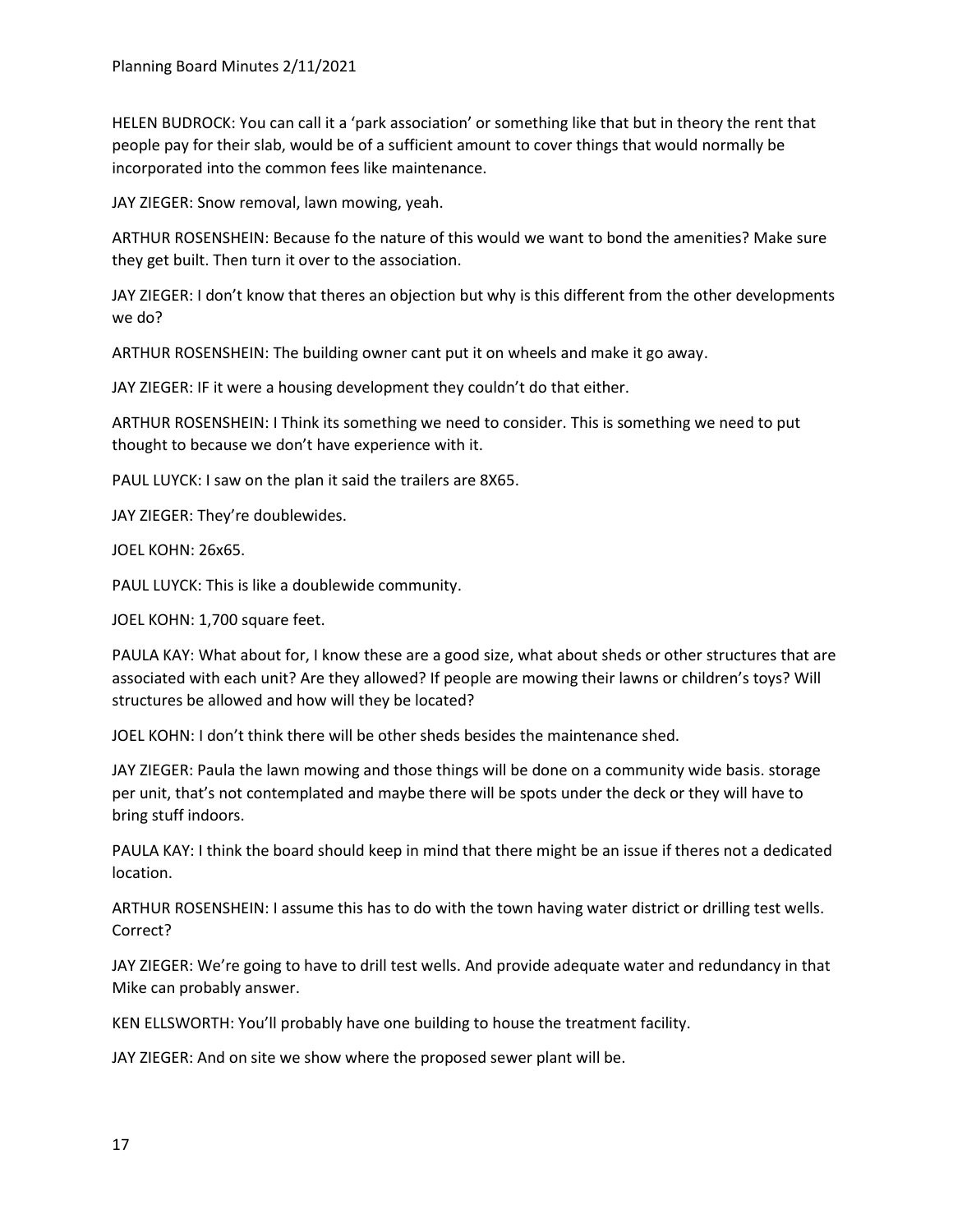HELEN BUDROCK: You can call it a 'park association' or something like that but in theory the rent that people pay for their slab, would be of a sufficient amount to cover things that would normally be incorporated into the common fees like maintenance.

JAY ZIEGER: Snow removal, lawn mowing, yeah.

ARTHUR ROSENSHEIN: Because fo the nature of this would we want to bond the amenities? Make sure they get built. Then turn it over to the association.

JAY ZIEGER: I don't know that theres an objection but why is this different from the other developments we do?

ARTHUR ROSENSHEIN: The building owner cant put it on wheels and make it go away.

JAY ZIEGER: IF it were a housing development they couldn't do that either.

ARTHUR ROSENSHEIN: I Think its something we need to consider. This is something we need to put thought to because we don't have experience with it.

PAUL LUYCK: I saw on the plan it said the trailers are 8X65.

JAY ZIEGER: They're doublewides.

JOEL KOHN: 26x65.

PAUL LUYCK: This is like a doublewide community.

JOEL KOHN: 1,700 square feet.

PAULA KAY: What about for, I know these are a good size, what about sheds or other structures that are associated with each unit? Are they allowed? If people are mowing their lawns or children's toys? Will structures be allowed and how will they be located?

JOEL KOHN: I don't think there will be other sheds besides the maintenance shed.

JAY ZIEGER: Paula the lawn mowing and those things will be done on a community wide basis. storage per unit, that's not contemplated and maybe there will be spots under the deck or they will have to bring stuff indoors.

PAULA KAY: I think the board should keep in mind that there might be an issue if theres not a dedicated location.

ARTHUR ROSENSHEIN: I assume this has to do with the town having water district or drilling test wells. Correct?

JAY ZIEGER: We're going to have to drill test wells. And provide adequate water and redundancy in that Mike can probably answer.

KEN ELLSWORTH: You'll probably have one building to house the treatment facility.

JAY ZIEGER: And on site we show where the proposed sewer plant will be.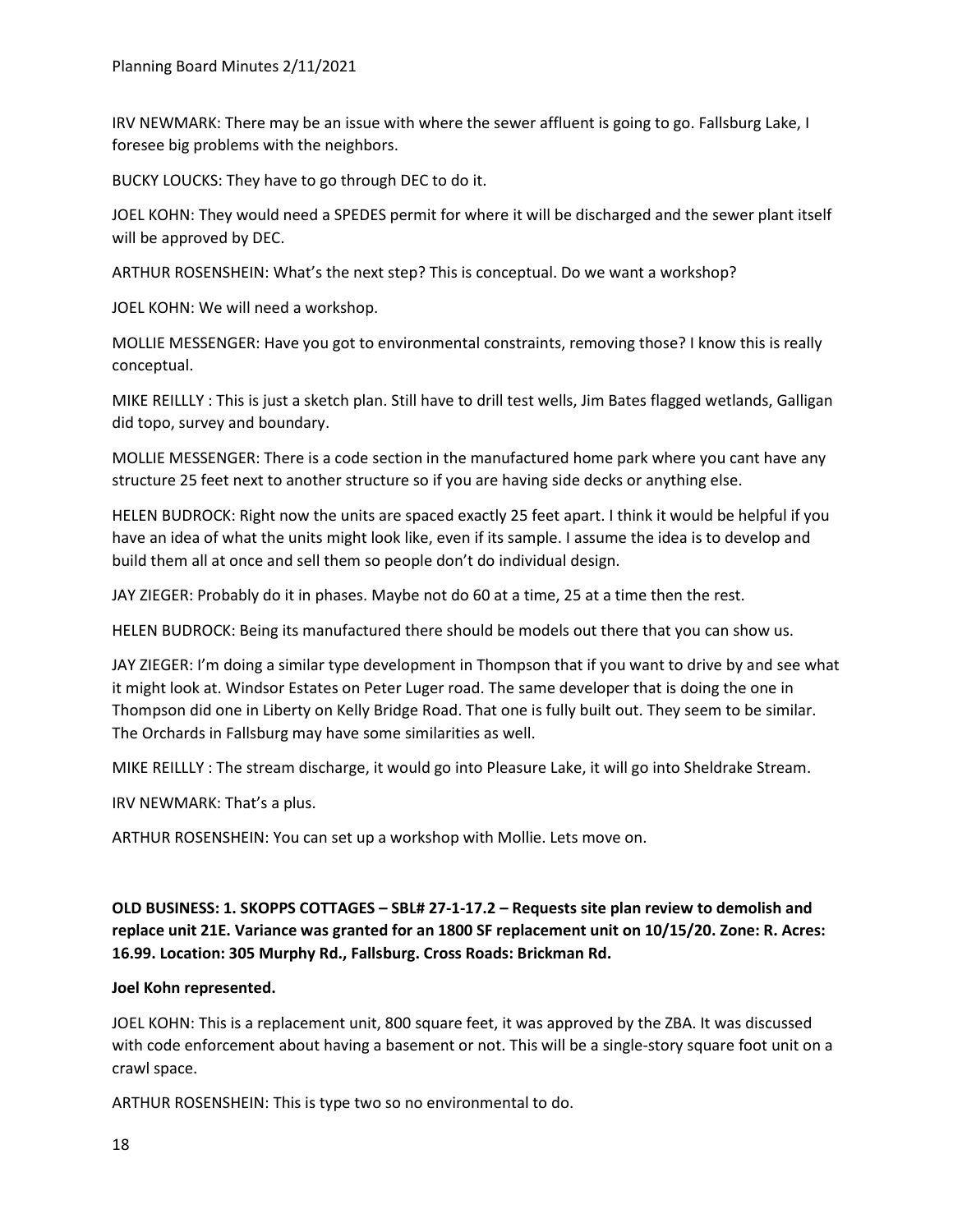IRV NEWMARK: There may be an issue with where the sewer affluent is going to go. Fallsburg Lake, I foresee big problems with the neighbors.

BUCKY LOUCKS: They have to go through DEC to do it.

JOEL KOHN: They would need a SPEDES permit for where it will be discharged and the sewer plant itself will be approved by DEC.

ARTHUR ROSENSHEIN: What's the next step? This is conceptual. Do we want a workshop?

JOEL KOHN: We will need a workshop.

MOLLIE MESSENGER: Have you got to environmental constraints, removing those? I know this is really conceptual.

MIKE REILLLY : This is just a sketch plan. Still have to drill test wells, Jim Bates flagged wetlands, Galligan did topo, survey and boundary.

MOLLIE MESSENGER: There is a code section in the manufactured home park where you cant have any structure 25 feet next to another structure so if you are having side decks or anything else.

HELEN BUDROCK: Right now the units are spaced exactly 25 feet apart. I think it would be helpful if you have an idea of what the units might look like, even if its sample. I assume the idea is to develop and build them all at once and sell them so people don't do individual design.

JAY ZIEGER: Probably do it in phases. Maybe not do 60 at a time, 25 at a time then the rest.

HELEN BUDROCK: Being its manufactured there should be models out there that you can show us.

JAY ZIEGER: I'm doing a similar type development in Thompson that if you want to drive by and see what it might look at. Windsor Estates on Peter Luger road. The same developer that is doing the one in Thompson did one in Liberty on Kelly Bridge Road. That one is fully built out. They seem to be similar. The Orchards in Fallsburg may have some similarities as well.

MIKE REILLLY : The stream discharge, it would go into Pleasure Lake, it will go into Sheldrake Stream.

IRV NEWMARK: That's a plus.

ARTHUR ROSENSHEIN: You can set up a workshop with Mollie. Lets move on.

**OLD BUSINESS: 1. SKOPPS COTTAGES – SBL# 27-1-17.2 – Requests site plan review to demolish and replace unit 21E. Variance was granted for an 1800 SF replacement unit on 10/15/20. Zone: R. Acres: 16.99. Location: 305 Murphy Rd., Fallsburg. Cross Roads: Brickman Rd.**

#### **Joel Kohn represented.**

JOEL KOHN: This is a replacement unit, 800 square feet, it was approved by the ZBA. It was discussed with code enforcement about having a basement or not. This will be a single-story square foot unit on a crawl space.

ARTHUR ROSENSHEIN: This is type two so no environmental to do.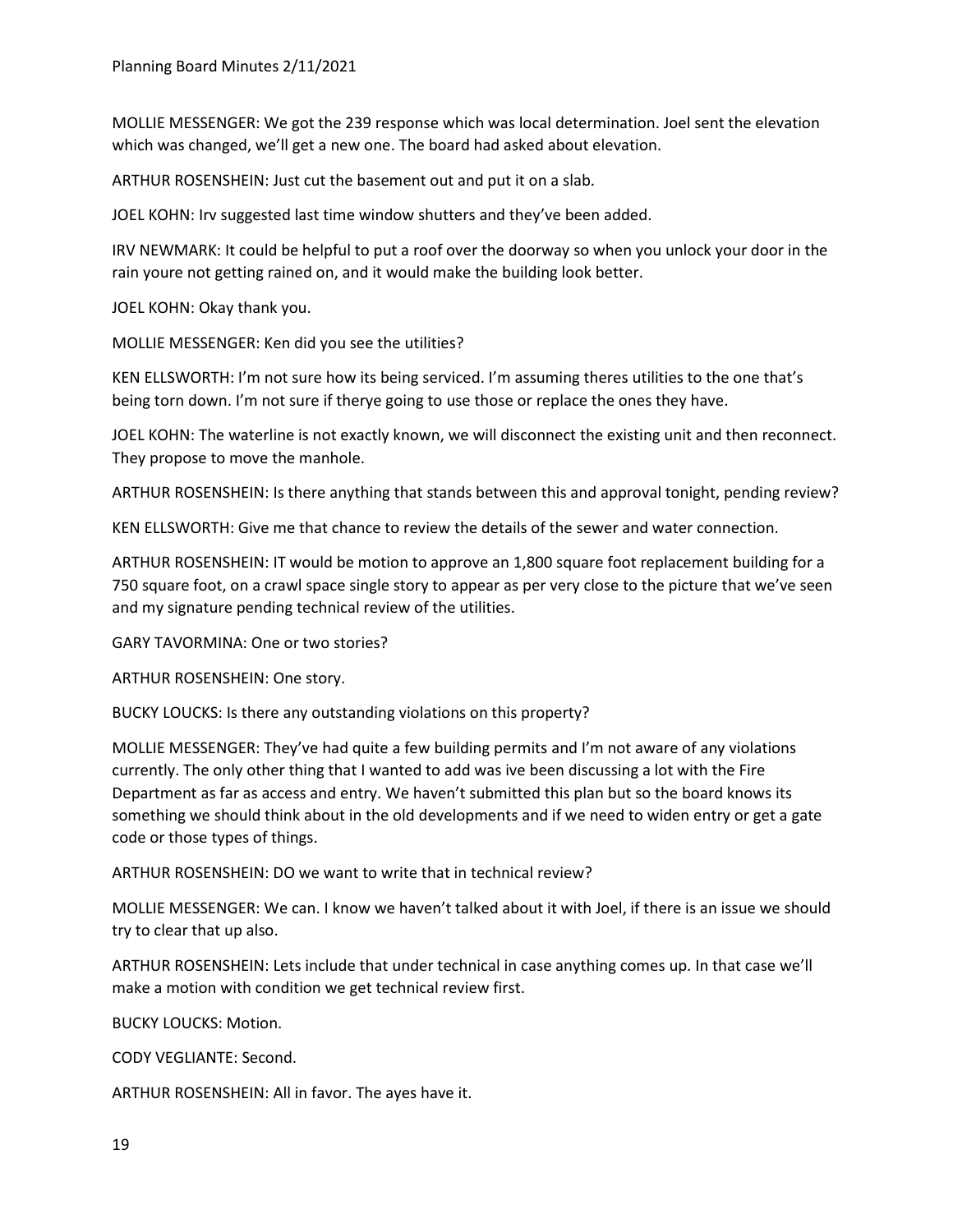MOLLIE MESSENGER: We got the 239 response which was local determination. Joel sent the elevation which was changed, we'll get a new one. The board had asked about elevation.

ARTHUR ROSENSHEIN: Just cut the basement out and put it on a slab.

JOEL KOHN: Irv suggested last time window shutters and they've been added.

IRV NEWMARK: It could be helpful to put a roof over the doorway so when you unlock your door in the rain youre not getting rained on, and it would make the building look better.

JOEL KOHN: Okay thank you.

MOLLIE MESSENGER: Ken did you see the utilities?

KEN ELLSWORTH: I'm not sure how its being serviced. I'm assuming theres utilities to the one that's being torn down. I'm not sure if therye going to use those or replace the ones they have.

JOEL KOHN: The waterline is not exactly known, we will disconnect the existing unit and then reconnect. They propose to move the manhole.

ARTHUR ROSENSHEIN: Is there anything that stands between this and approval tonight, pending review?

KEN ELLSWORTH: Give me that chance to review the details of the sewer and water connection.

ARTHUR ROSENSHEIN: IT would be motion to approve an 1,800 square foot replacement building for a 750 square foot, on a crawl space single story to appear as per very close to the picture that we've seen and my signature pending technical review of the utilities.

GARY TAVORMINA: One or two stories?

ARTHUR ROSENSHEIN: One story.

BUCKY LOUCKS: Is there any outstanding violations on this property?

MOLLIE MESSENGER: They've had quite a few building permits and I'm not aware of any violations currently. The only other thing that I wanted to add was ive been discussing a lot with the Fire Department as far as access and entry. We haven't submitted this plan but so the board knows its something we should think about in the old developments and if we need to widen entry or get a gate code or those types of things.

ARTHUR ROSENSHEIN: DO we want to write that in technical review?

MOLLIE MESSENGER: We can. I know we haven't talked about it with Joel, if there is an issue we should try to clear that up also.

ARTHUR ROSENSHEIN: Lets include that under technical in case anything comes up. In that case we'll make a motion with condition we get technical review first.

BUCKY LOUCKS: Motion.

CODY VEGLIANTE: Second.

ARTHUR ROSENSHEIN: All in favor. The ayes have it.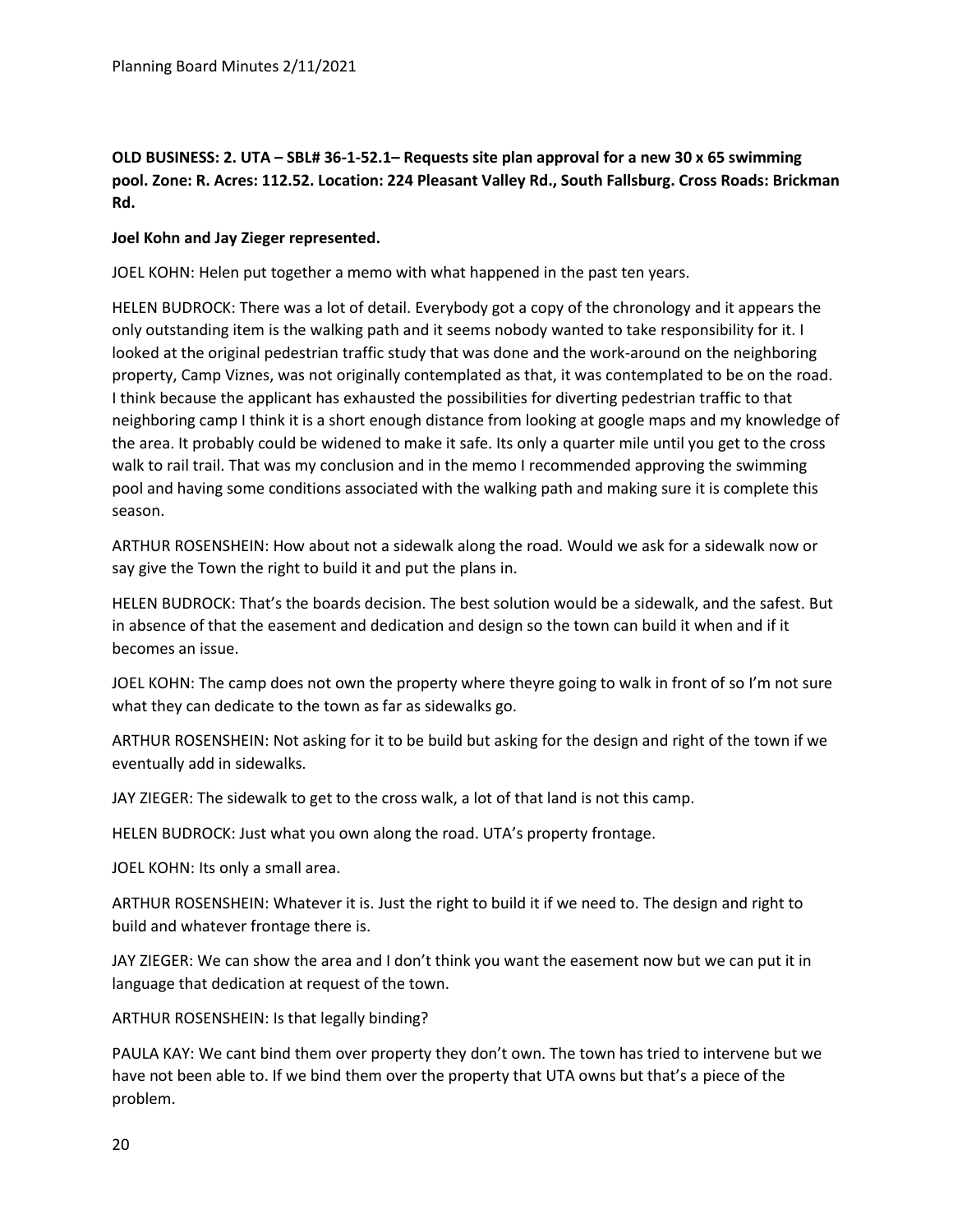# **OLD BUSINESS: 2. UTA – SBL# 36-1-52.1– Requests site plan approval for a new 30 x 65 swimming pool. Zone: R. Acres: 112.52. Location: 224 Pleasant Valley Rd., South Fallsburg. Cross Roads: Brickman Rd.**

## **Joel Kohn and Jay Zieger represented.**

JOEL KOHN: Helen put together a memo with what happened in the past ten years.

HELEN BUDROCK: There was a lot of detail. Everybody got a copy of the chronology and it appears the only outstanding item is the walking path and it seems nobody wanted to take responsibility for it. I looked at the original pedestrian traffic study that was done and the work-around on the neighboring property, Camp Viznes, was not originally contemplated as that, it was contemplated to be on the road. I think because the applicant has exhausted the possibilities for diverting pedestrian traffic to that neighboring camp I think it is a short enough distance from looking at google maps and my knowledge of the area. It probably could be widened to make it safe. Its only a quarter mile until you get to the cross walk to rail trail. That was my conclusion and in the memo I recommended approving the swimming pool and having some conditions associated with the walking path and making sure it is complete this season.

ARTHUR ROSENSHEIN: How about not a sidewalk along the road. Would we ask for a sidewalk now or say give the Town the right to build it and put the plans in.

HELEN BUDROCK: That's the boards decision. The best solution would be a sidewalk, and the safest. But in absence of that the easement and dedication and design so the town can build it when and if it becomes an issue.

JOEL KOHN: The camp does not own the property where theyre going to walk in front of so I'm not sure what they can dedicate to the town as far as sidewalks go.

ARTHUR ROSENSHEIN: Not asking for it to be build but asking for the design and right of the town if we eventually add in sidewalks.

JAY ZIEGER: The sidewalk to get to the cross walk, a lot of that land is not this camp.

HELEN BUDROCK: Just what you own along the road. UTA's property frontage.

JOEL KOHN: Its only a small area.

ARTHUR ROSENSHEIN: Whatever it is. Just the right to build it if we need to. The design and right to build and whatever frontage there is.

JAY ZIEGER: We can show the area and I don't think you want the easement now but we can put it in language that dedication at request of the town.

ARTHUR ROSENSHEIN: Is that legally binding?

PAULA KAY: We cant bind them over property they don't own. The town has tried to intervene but we have not been able to. If we bind them over the property that UTA owns but that's a piece of the problem.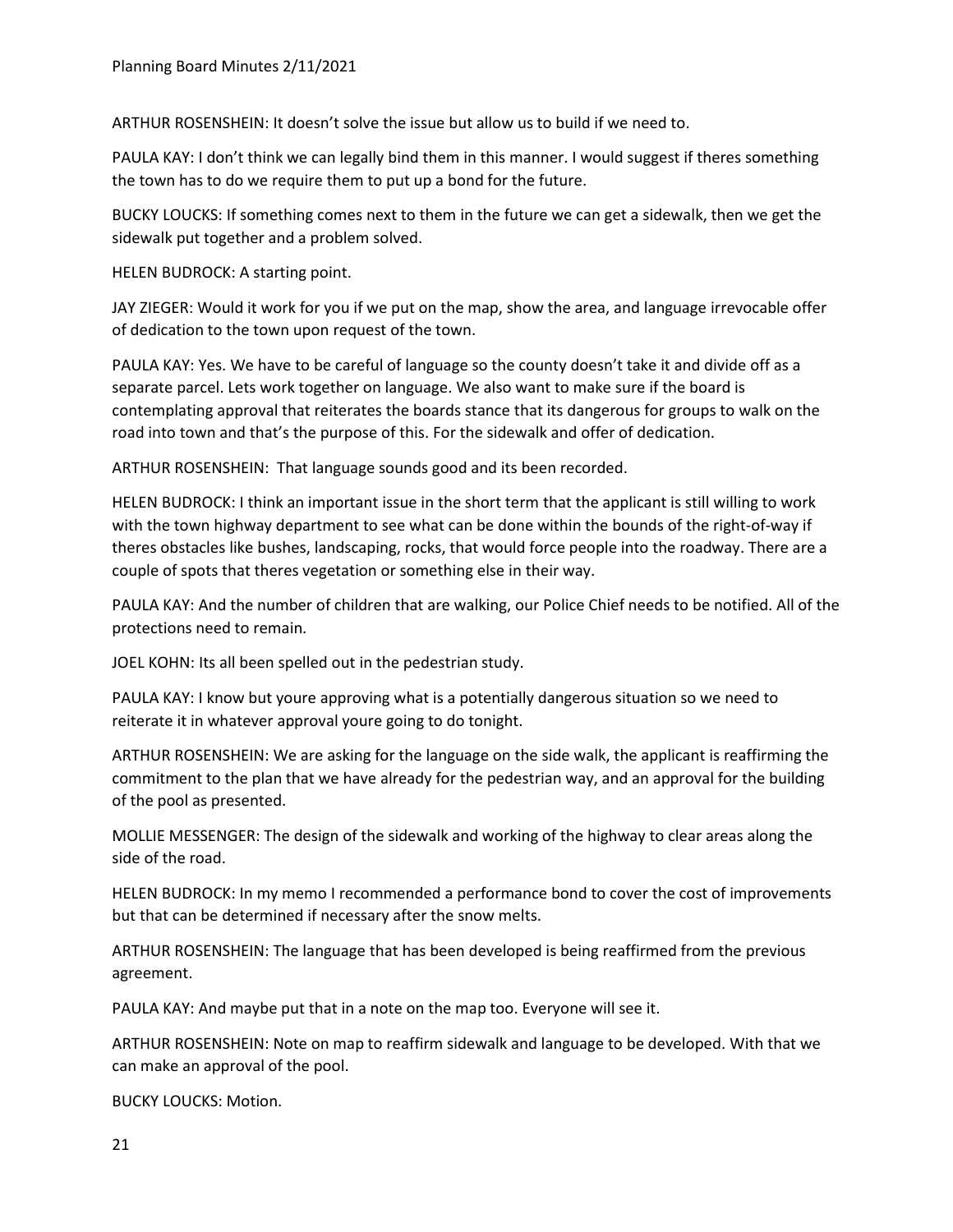ARTHUR ROSENSHEIN: It doesn't solve the issue but allow us to build if we need to.

PAULA KAY: I don't think we can legally bind them in this manner. I would suggest if theres something the town has to do we require them to put up a bond for the future.

BUCKY LOUCKS: If something comes next to them in the future we can get a sidewalk, then we get the sidewalk put together and a problem solved.

HELEN BUDROCK: A starting point.

JAY ZIEGER: Would it work for you if we put on the map, show the area, and language irrevocable offer of dedication to the town upon request of the town.

PAULA KAY: Yes. We have to be careful of language so the county doesn't take it and divide off as a separate parcel. Lets work together on language. We also want to make sure if the board is contemplating approval that reiterates the boards stance that its dangerous for groups to walk on the road into town and that's the purpose of this. For the sidewalk and offer of dedication.

ARTHUR ROSENSHEIN: That language sounds good and its been recorded.

HELEN BUDROCK: I think an important issue in the short term that the applicant is still willing to work with the town highway department to see what can be done within the bounds of the right-of-way if theres obstacles like bushes, landscaping, rocks, that would force people into the roadway. There are a couple of spots that theres vegetation or something else in their way.

PAULA KAY: And the number of children that are walking, our Police Chief needs to be notified. All of the protections need to remain.

JOEL KOHN: Its all been spelled out in the pedestrian study.

PAULA KAY: I know but youre approving what is a potentially dangerous situation so we need to reiterate it in whatever approval youre going to do tonight.

ARTHUR ROSENSHEIN: We are asking for the language on the side walk, the applicant is reaffirming the commitment to the plan that we have already for the pedestrian way, and an approval for the building of the pool as presented.

MOLLIE MESSENGER: The design of the sidewalk and working of the highway to clear areas along the side of the road.

HELEN BUDROCK: In my memo I recommended a performance bond to cover the cost of improvements but that can be determined if necessary after the snow melts.

ARTHUR ROSENSHEIN: The language that has been developed is being reaffirmed from the previous agreement.

PAULA KAY: And maybe put that in a note on the map too. Everyone will see it.

ARTHUR ROSENSHEIN: Note on map to reaffirm sidewalk and language to be developed. With that we can make an approval of the pool.

BUCKY LOUCKS: Motion.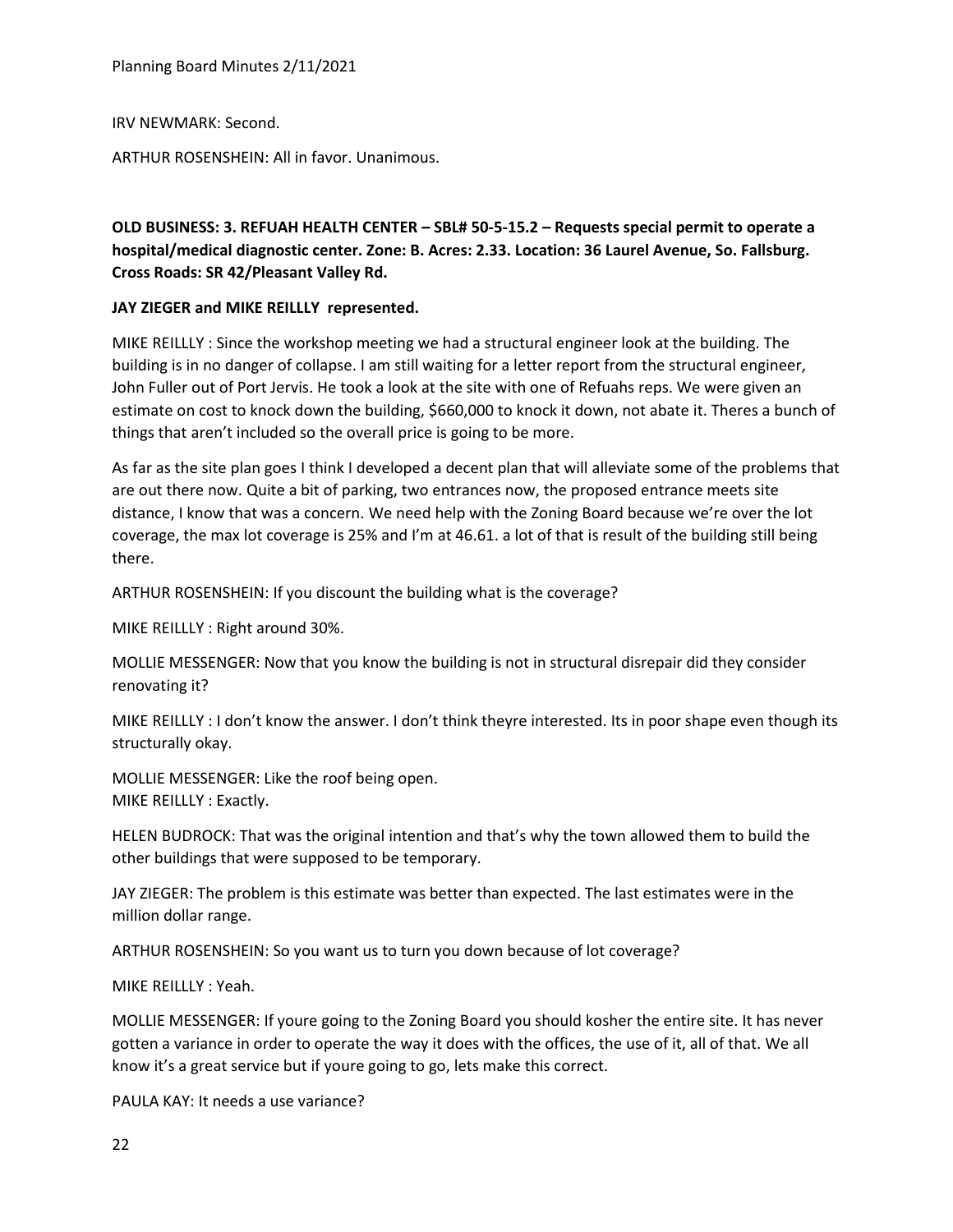Planning Board Minutes 2/11/2021

IRV NEWMARK: Second.

ARTHUR ROSENSHEIN: All in favor. Unanimous.

# **OLD BUSINESS: 3. REFUAH HEALTH CENTER – SBL# 50-5-15.2 – Requests special permit to operate a hospital/medical diagnostic center. Zone: B. Acres: 2.33. Location: 36 Laurel Avenue, So. Fallsburg. Cross Roads: SR 42/Pleasant Valley Rd.**

## **JAY ZIEGER and MIKE REILLLY represented.**

MIKE REILLLY : Since the workshop meeting we had a structural engineer look at the building. The building is in no danger of collapse. I am still waiting for a letter report from the structural engineer, John Fuller out of Port Jervis. He took a look at the site with one of Refuahs reps. We were given an estimate on cost to knock down the building, \$660,000 to knock it down, not abate it. Theres a bunch of things that aren't included so the overall price is going to be more.

As far as the site plan goes I think I developed a decent plan that will alleviate some of the problems that are out there now. Quite a bit of parking, two entrances now, the proposed entrance meets site distance, I know that was a concern. We need help with the Zoning Board because we're over the lot coverage, the max lot coverage is 25% and I'm at 46.61. a lot of that is result of the building still being there.

ARTHUR ROSENSHEIN: If you discount the building what is the coverage?

MIKE REILLLY : Right around 30%.

MOLLIE MESSENGER: Now that you know the building is not in structural disrepair did they consider renovating it?

MIKE REILLLY : I don't know the answer. I don't think theyre interested. Its in poor shape even though its structurally okay.

MOLLIE MESSENGER: Like the roof being open. MIKE REILLLY : Exactly.

HELEN BUDROCK: That was the original intention and that's why the town allowed them to build the other buildings that were supposed to be temporary.

JAY ZIEGER: The problem is this estimate was better than expected. The last estimates were in the million dollar range.

ARTHUR ROSENSHEIN: So you want us to turn you down because of lot coverage?

MIKE REILLLY : Yeah.

MOLLIE MESSENGER: If youre going to the Zoning Board you should kosher the entire site. It has never gotten a variance in order to operate the way it does with the offices, the use of it, all of that. We all know it's a great service but if youre going to go, lets make this correct.

PAULA KAY: It needs a use variance?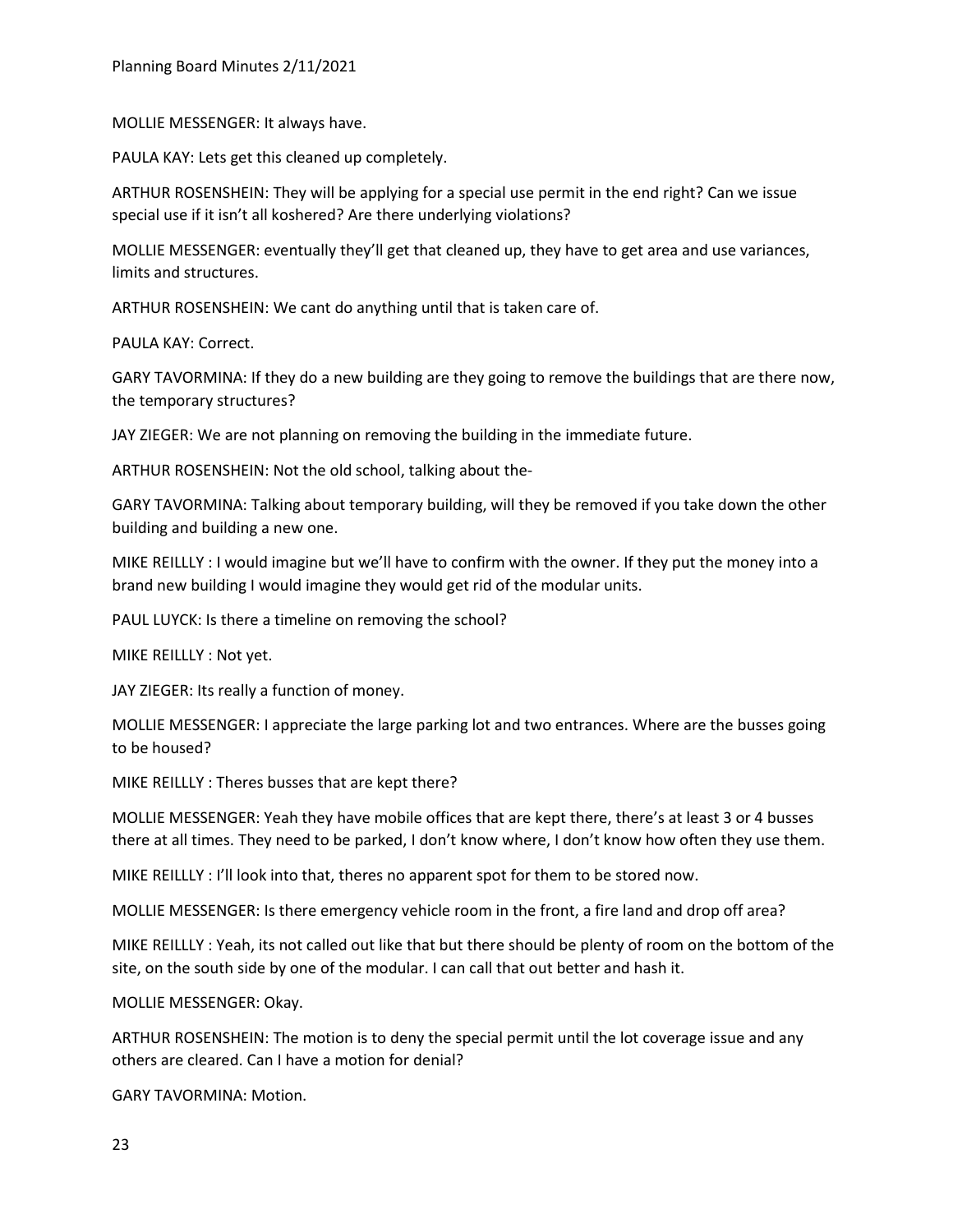MOLLIE MESSENGER: It always have.

PAULA KAY: Lets get this cleaned up completely.

ARTHUR ROSENSHEIN: They will be applying for a special use permit in the end right? Can we issue special use if it isn't all koshered? Are there underlying violations?

MOLLIE MESSENGER: eventually they'll get that cleaned up, they have to get area and use variances, limits and structures.

ARTHUR ROSENSHEIN: We cant do anything until that is taken care of.

PAULA KAY: Correct.

GARY TAVORMINA: If they do a new building are they going to remove the buildings that are there now, the temporary structures?

JAY ZIEGER: We are not planning on removing the building in the immediate future.

ARTHUR ROSENSHEIN: Not the old school, talking about the-

GARY TAVORMINA: Talking about temporary building, will they be removed if you take down the other building and building a new one.

MIKE REILLLY : I would imagine but we'll have to confirm with the owner. If they put the money into a brand new building I would imagine they would get rid of the modular units.

PAUL LUYCK: Is there a timeline on removing the school?

MIKE REILLLY : Not yet.

JAY ZIEGER: Its really a function of money.

MOLLIE MESSENGER: I appreciate the large parking lot and two entrances. Where are the busses going to be housed?

MIKE REILLLY : Theres busses that are kept there?

MOLLIE MESSENGER: Yeah they have mobile offices that are kept there, there's at least 3 or 4 busses there at all times. They need to be parked, I don't know where, I don't know how often they use them.

MIKE REILLLY : I'll look into that, theres no apparent spot for them to be stored now.

MOLLIE MESSENGER: Is there emergency vehicle room in the front, a fire land and drop off area?

MIKE REILLLY : Yeah, its not called out like that but there should be plenty of room on the bottom of the site, on the south side by one of the modular. I can call that out better and hash it.

MOLLIE MESSENGER: Okay.

ARTHUR ROSENSHEIN: The motion is to deny the special permit until the lot coverage issue and any others are cleared. Can I have a motion for denial?

GARY TAVORMINA: Motion.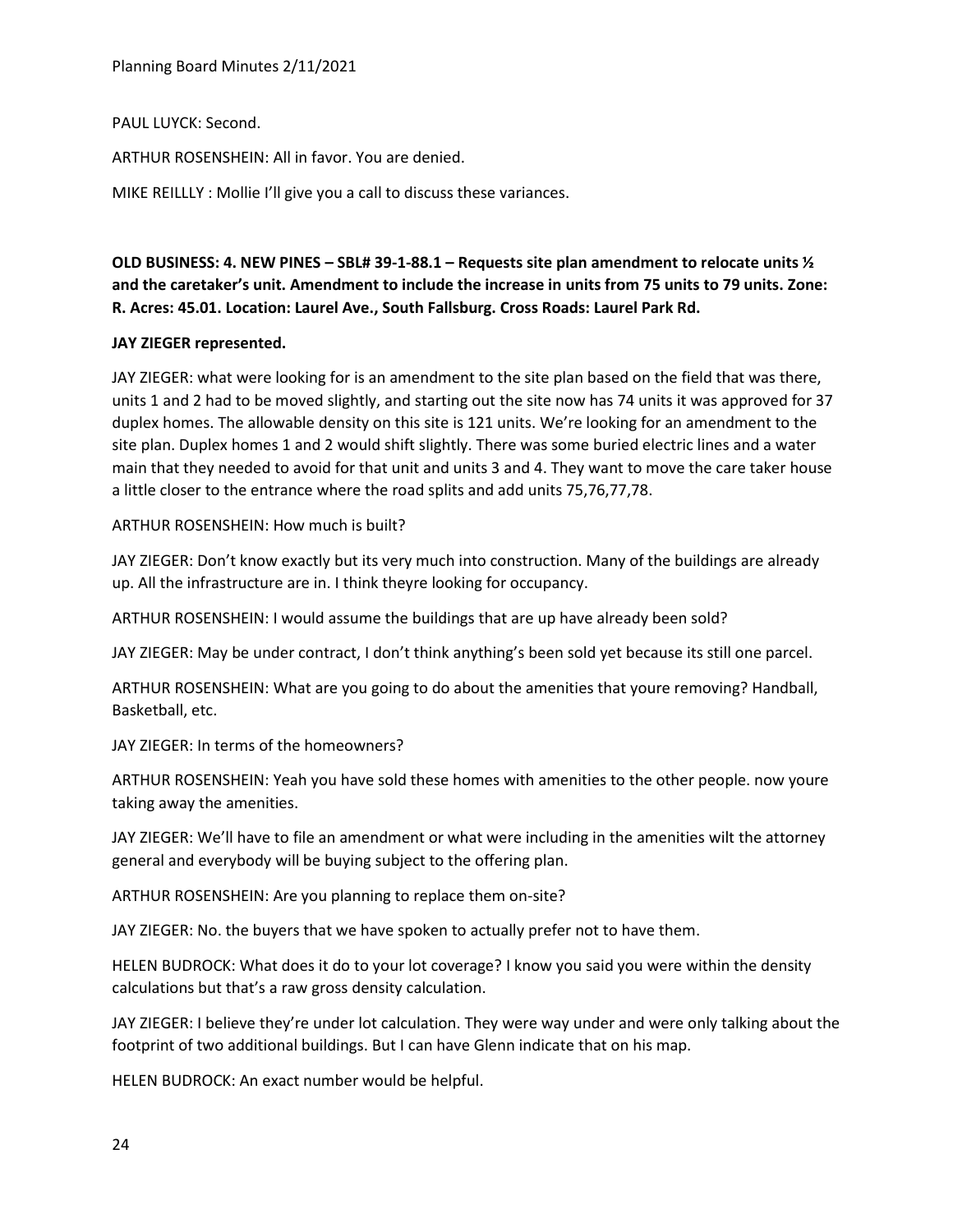Planning Board Minutes 2/11/2021

PAUL LUYCK: Second.

ARTHUR ROSENSHEIN: All in favor. You are denied.

MIKE REILLLY : Mollie I'll give you a call to discuss these variances.

**OLD BUSINESS: 4. NEW PINES – SBL# 39-1-88.1 – Requests site plan amendment to relocate units ½ and the caretaker's unit. Amendment to include the increase in units from 75 units to 79 units. Zone: R. Acres: 45.01. Location: Laurel Ave., South Fallsburg. Cross Roads: Laurel Park Rd.**

### **JAY ZIEGER represented.**

JAY ZIEGER: what were looking for is an amendment to the site plan based on the field that was there, units 1 and 2 had to be moved slightly, and starting out the site now has 74 units it was approved for 37 duplex homes. The allowable density on this site is 121 units. We're looking for an amendment to the site plan. Duplex homes 1 and 2 would shift slightly. There was some buried electric lines and a water main that they needed to avoid for that unit and units 3 and 4. They want to move the care taker house a little closer to the entrance where the road splits and add units 75,76,77,78.

### ARTHUR ROSENSHEIN: How much is built?

JAY ZIEGER: Don't know exactly but its very much into construction. Many of the buildings are already up. All the infrastructure are in. I think theyre looking for occupancy.

ARTHUR ROSENSHEIN: I would assume the buildings that are up have already been sold?

JAY ZIEGER: May be under contract, I don't think anything's been sold yet because its still one parcel.

ARTHUR ROSENSHEIN: What are you going to do about the amenities that youre removing? Handball, Basketball, etc.

JAY ZIEGER: In terms of the homeowners?

ARTHUR ROSENSHEIN: Yeah you have sold these homes with amenities to the other people. now youre taking away the amenities.

JAY ZIEGER: We'll have to file an amendment or what were including in the amenities wilt the attorney general and everybody will be buying subject to the offering plan.

ARTHUR ROSENSHEIN: Are you planning to replace them on-site?

JAY ZIEGER: No. the buyers that we have spoken to actually prefer not to have them.

HELEN BUDROCK: What does it do to your lot coverage? I know you said you were within the density calculations but that's a raw gross density calculation.

JAY ZIEGER: I believe they're under lot calculation. They were way under and were only talking about the footprint of two additional buildings. But I can have Glenn indicate that on his map.

HELEN BUDROCK: An exact number would be helpful.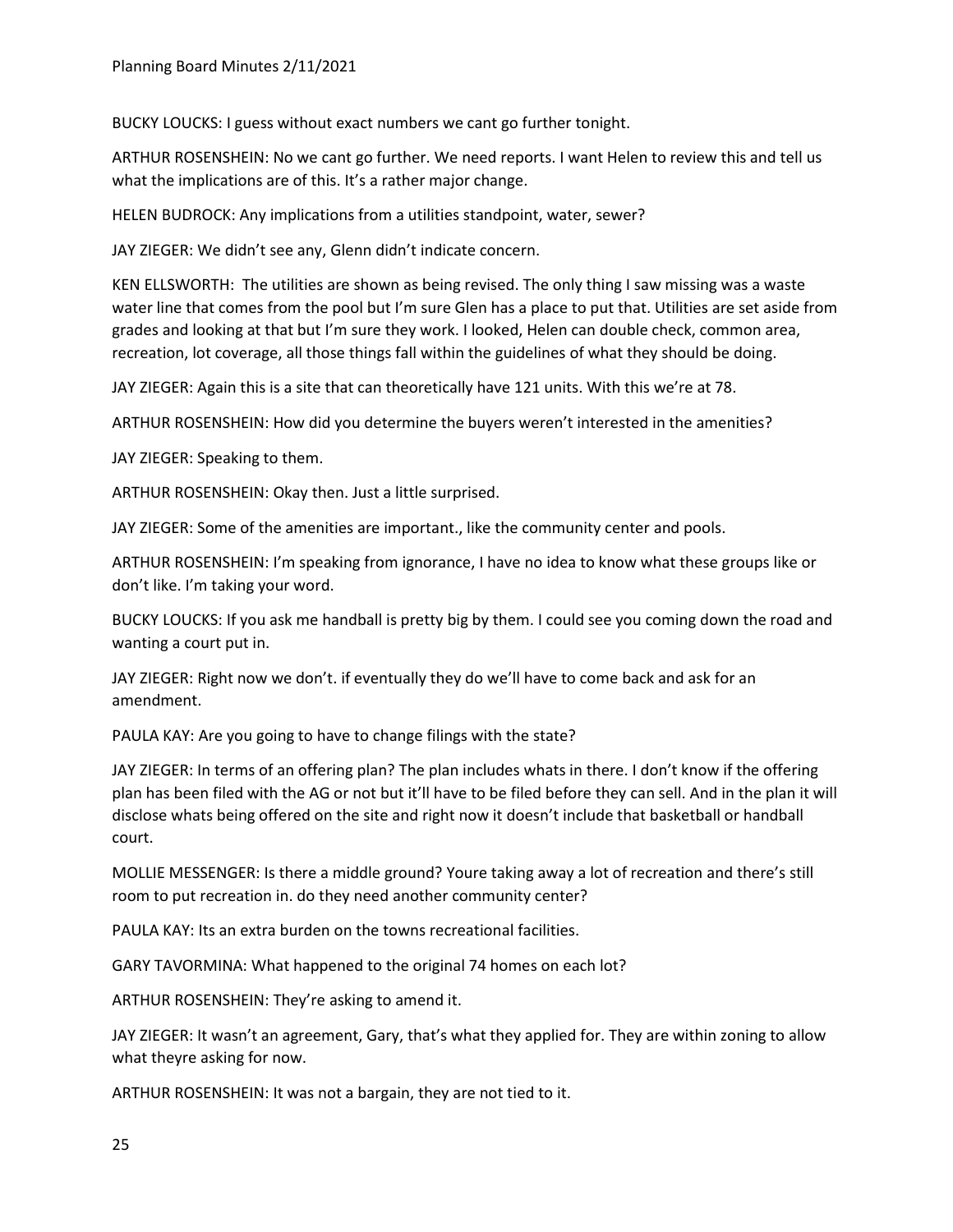BUCKY LOUCKS: I guess without exact numbers we cant go further tonight.

ARTHUR ROSENSHEIN: No we cant go further. We need reports. I want Helen to review this and tell us what the implications are of this. It's a rather major change.

HELEN BUDROCK: Any implications from a utilities standpoint, water, sewer?

JAY ZIEGER: We didn't see any, Glenn didn't indicate concern.

KEN ELLSWORTH: The utilities are shown as being revised. The only thing I saw missing was a waste water line that comes from the pool but I'm sure Glen has a place to put that. Utilities are set aside from grades and looking at that but I'm sure they work. I looked, Helen can double check, common area, recreation, lot coverage, all those things fall within the guidelines of what they should be doing.

JAY ZIEGER: Again this is a site that can theoretically have 121 units. With this we're at 78.

ARTHUR ROSENSHEIN: How did you determine the buyers weren't interested in the amenities?

JAY ZIEGER: Speaking to them.

ARTHUR ROSENSHEIN: Okay then. Just a little surprised.

JAY ZIEGER: Some of the amenities are important., like the community center and pools.

ARTHUR ROSENSHEIN: I'm speaking from ignorance, I have no idea to know what these groups like or don't like. I'm taking your word.

BUCKY LOUCKS: If you ask me handball is pretty big by them. I could see you coming down the road and wanting a court put in.

JAY ZIEGER: Right now we don't. if eventually they do we'll have to come back and ask for an amendment.

PAULA KAY: Are you going to have to change filings with the state?

JAY ZIEGER: In terms of an offering plan? The plan includes whats in there. I don't know if the offering plan has been filed with the AG or not but it'll have to be filed before they can sell. And in the plan it will disclose whats being offered on the site and right now it doesn't include that basketball or handball court.

MOLLIE MESSENGER: Is there a middle ground? Youre taking away a lot of recreation and there's still room to put recreation in. do they need another community center?

PAULA KAY: Its an extra burden on the towns recreational facilities.

GARY TAVORMINA: What happened to the original 74 homes on each lot?

ARTHUR ROSENSHEIN: They're asking to amend it.

JAY ZIEGER: It wasn't an agreement, Gary, that's what they applied for. They are within zoning to allow what theyre asking for now.

ARTHUR ROSENSHEIN: It was not a bargain, they are not tied to it.